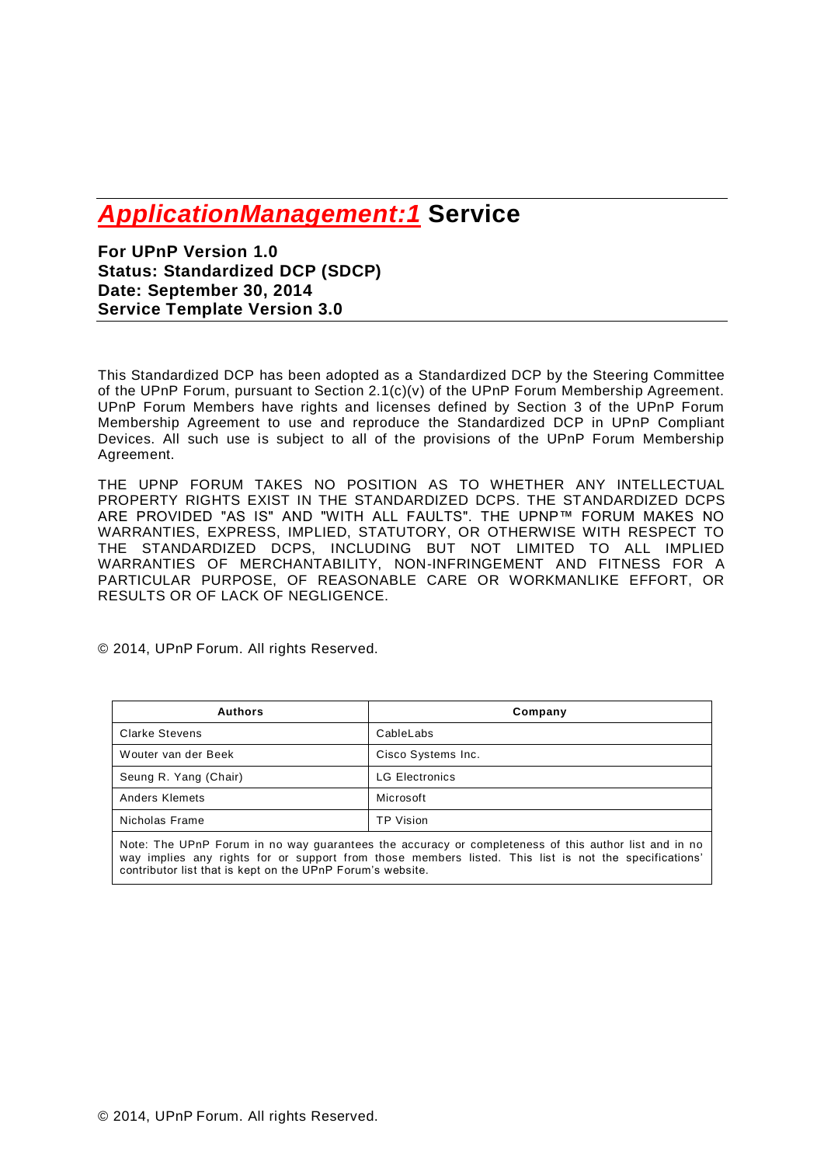# *ApplicationManagement:1* **Service**

**For UPnP Version 1.0 Status: Standardized DCP (SDCP) Date: September 30, 2014 Service Template Version 3.0**

This Standardized DCP has been adopted as a Standardized DCP by the Steering Committee of the UPnP Forum, pursuant to Section 2.1(c)(v) of the UPnP Forum Membership Agreement. UPnP Forum Members have rights and licenses defined by Section 3 of the UPnP Forum Membership Agreement to use and reproduce the Standardized DCP in UPnP Compliant Devices. All such use is subject to all of the provisions of the UPnP Forum Membership Agreement.

THE UPNP FORUM TAKES NO POSITION AS TO WHETHER ANY INTELLECTUAL PROPERTY RIGHTS EXIST IN THE STANDARDIZED DCPS. THE STANDARDIZED DCPS ARE PROVIDED "AS IS" AND "WITH ALL FAULTS". THE UPNP™ FORUM MAKES NO WARRANTIES, EXPRESS, IMPLIED, STATUTORY, OR OTHERWISE WITH RESPECT TO THE STANDARDIZED DCPS, INCLUDING BUT NOT LIMITED TO ALL IMPLIED WARRANTIES OF MERCHANTABILITY, NON-INFRINGEMENT AND FITNESS FOR A PARTICULAR PURPOSE, OF REASONABLE CARE OR WORKMANLIKE EFFORT, OR RESULTS OR OF LACK OF NEGLIGENCE.

© 2014, UPnP Forum. All rights Reserved.

| Company               |
|-----------------------|
| CableLabs             |
| Cisco Systems Inc.    |
| <b>LG Electronics</b> |
| Microsoft             |
| <b>TP Vision</b>      |
|                       |

Note: The UPnP Forum in no way guarantees the accuracy or completeness of this author list and in no way implies any rights for or support from those members listed. This list is not the specifications' contributor list that is kept on the UPnP Forum's website.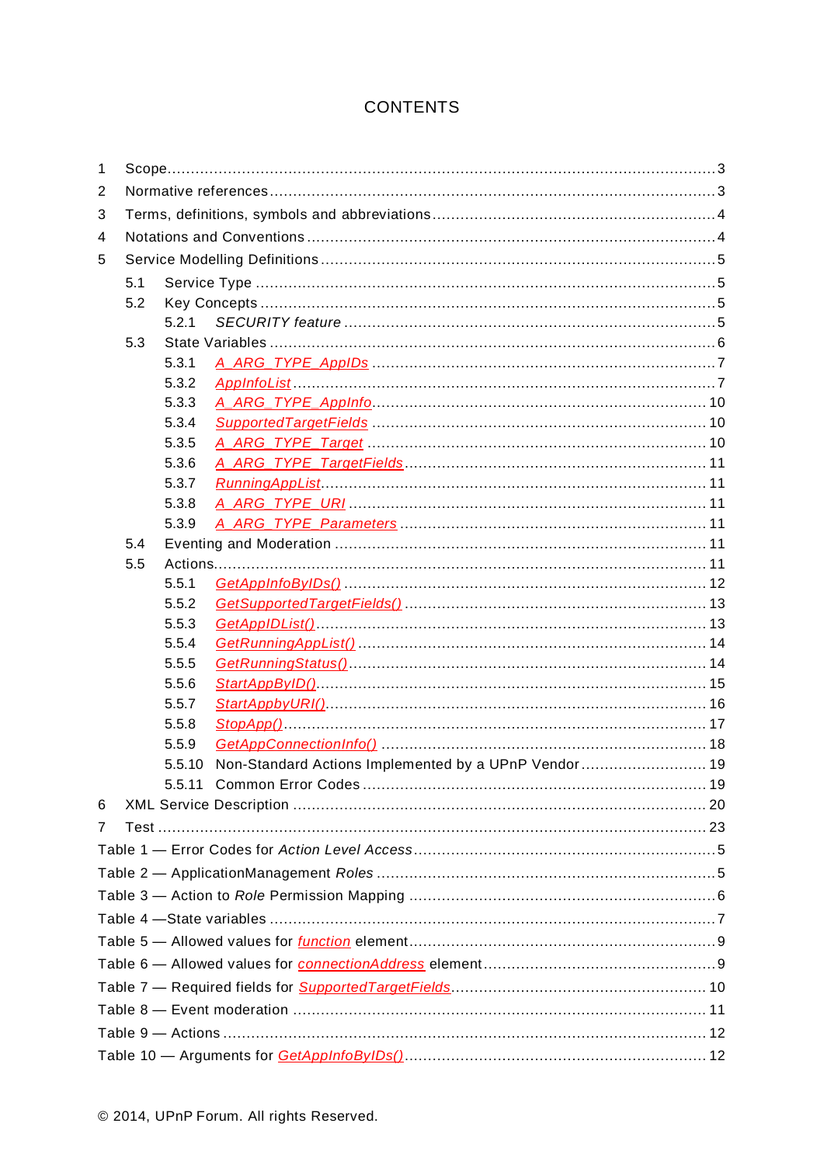# **CONTENTS**

| $\mathbf{1}$   |     |        |                                                      |  |  |  |
|----------------|-----|--------|------------------------------------------------------|--|--|--|
| 2              |     |        |                                                      |  |  |  |
| 3              |     |        |                                                      |  |  |  |
| 4              |     |        |                                                      |  |  |  |
| 5              |     |        |                                                      |  |  |  |
|                | 5.1 |        |                                                      |  |  |  |
|                | 5.2 |        |                                                      |  |  |  |
|                |     | 5.2.1  |                                                      |  |  |  |
|                | 5.3 |        |                                                      |  |  |  |
|                |     | 5.3.1  |                                                      |  |  |  |
|                |     | 5.3.2  |                                                      |  |  |  |
|                |     | 5.3.3  |                                                      |  |  |  |
|                |     | 5.3.4  |                                                      |  |  |  |
|                |     | 5.3.5  |                                                      |  |  |  |
|                |     | 5.3.6  |                                                      |  |  |  |
|                |     | 5.3.7  |                                                      |  |  |  |
|                |     | 5.3.8  |                                                      |  |  |  |
|                |     | 5.3.9  |                                                      |  |  |  |
|                | 5.4 |        |                                                      |  |  |  |
|                | 5.5 |        |                                                      |  |  |  |
|                |     | 5.5.1  |                                                      |  |  |  |
|                |     | 5.5.2  |                                                      |  |  |  |
|                |     | 5.5.3  |                                                      |  |  |  |
|                |     | 5.5.4  |                                                      |  |  |  |
|                |     | 5.5.5  |                                                      |  |  |  |
|                |     | 5.5.6  |                                                      |  |  |  |
|                |     | 5.5.7  |                                                      |  |  |  |
|                |     | 5.5.8  |                                                      |  |  |  |
|                |     | 5.5.9  |                                                      |  |  |  |
|                |     | 5.5.10 | Non-Standard Actions Implemented by a UPnP Vendor 19 |  |  |  |
|                |     |        |                                                      |  |  |  |
| 6              |     |        |                                                      |  |  |  |
| $\overline{7}$ |     |        |                                                      |  |  |  |
|                |     |        |                                                      |  |  |  |
|                |     |        |                                                      |  |  |  |
|                |     |        |                                                      |  |  |  |
|                |     |        |                                                      |  |  |  |
|                |     |        |                                                      |  |  |  |
|                |     |        |                                                      |  |  |  |
|                |     |        |                                                      |  |  |  |
|                |     |        |                                                      |  |  |  |
|                |     |        |                                                      |  |  |  |
|                |     |        |                                                      |  |  |  |
|                |     |        |                                                      |  |  |  |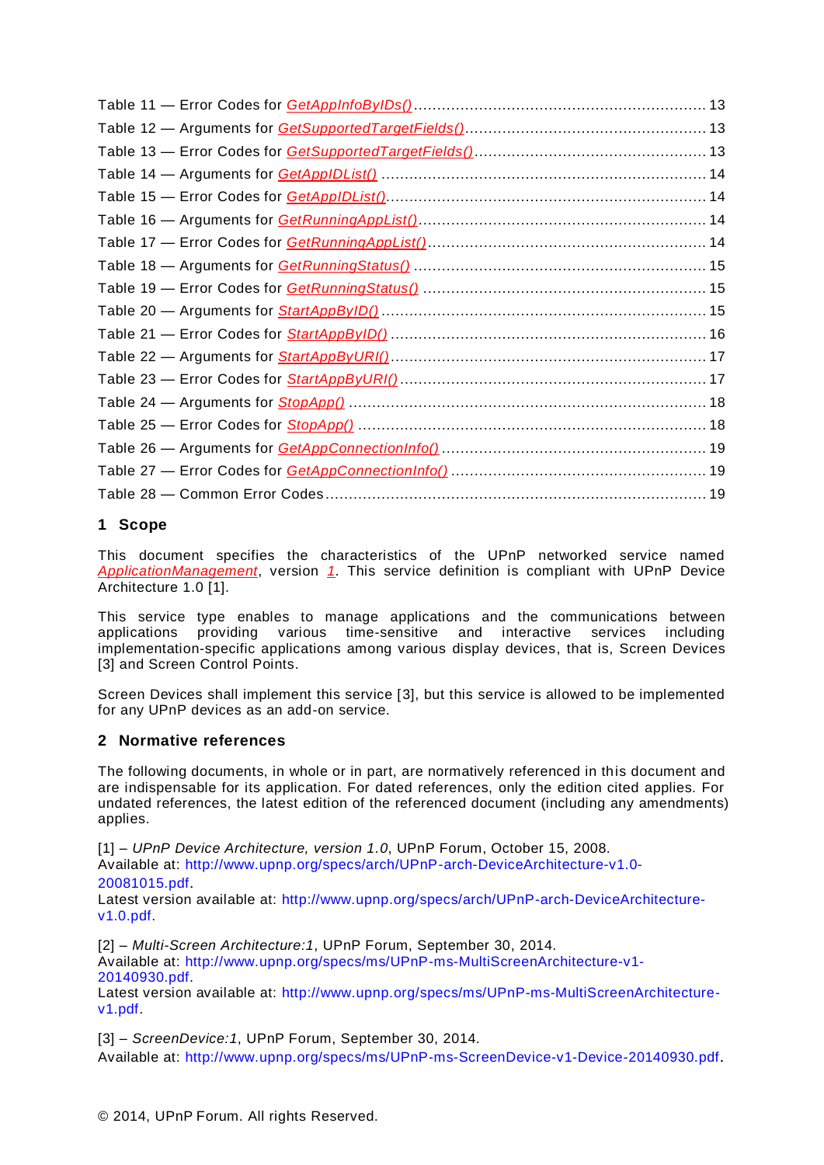# **1 Scope**

This document specifies the characteristics of the UPnP networked service named *ApplicationManagement*, version *1*. This service definition is compliant with UPnP Device Architecture 1.0 [\[1\]](#page-2-0).

This service type enables to manage applications and the communications between applications providing various time-sensitive and interactive services including implementation-specific applications among various display devices, that is, Screen Devices [\[3\]](#page-2-1) and Screen Control Points.

Screen Devices shall implement this service [\[3\]](#page-2-1), but this service is allowed to be implemented for any UPnP devices as an add-on service.

# **2 Normative references**

The following documents, in whole or in part, are normatively referenced in this document and are indispensable for its application. For dated references, only the edition cited applies. For undated references, the latest edition of the referenced document (including any amendments) applies.

<span id="page-2-0"></span>[1] – *UPnP Device Architecture, version 1.0*, UPnP Forum, October 15, 2008. Available at: [http://www.upnp.org/specs/arch/UPnP-arch-DeviceArchitecture-v1.0-](http://www.upnp.org/specs/arch/UPnP-arch-DeviceArchitecture-v1.0-20081015.pdf)

```
20081015.pdf.
```
Latest version available at: [http://www.upnp.org/specs/arch/UPnP-arch-DeviceArchitecture](http://www.upnp.org/specs/arch/UPnP-arch-DeviceArchitecture-v1.0.pdf)[v1.0.pdf.](http://www.upnp.org/specs/arch/UPnP-arch-DeviceArchitecture-v1.0.pdf)

<span id="page-2-2"></span>[2] – *Multi-Screen Architecture:1*, UPnP Forum, September 30, 2014. Available at: [http://www.upnp.org/specs/ms/UPnP-ms-MultiScreenArchitecture-v1-](http://www.upnp.org/specs/ms/UPnP-ms-MultiScreenArchitecture-v1-20140930.pdf) [20140930.pdf.](http://www.upnp.org/specs/ms/UPnP-ms-MultiScreenArchitecture-v1-20140930.pdf)

Latest version available at: [http://www.upnp.org/specs/ms/UPnP-ms-MultiScreenArchitecture](http://www.upnp.org/specs/ms/UPnP-ms-MultiScreenArchitecture-v1.pdf)[v1.pdf.](http://www.upnp.org/specs/ms/UPnP-ms-MultiScreenArchitecture-v1.pdf)

<span id="page-2-1"></span>[3] – *ScreenDevice:1*, UPnP Forum, September 30, 2014. Available at:<http://www.upnp.org/specs/ms/UPnP-ms-ScreenDevice-v1-Device-20140930.pdf>.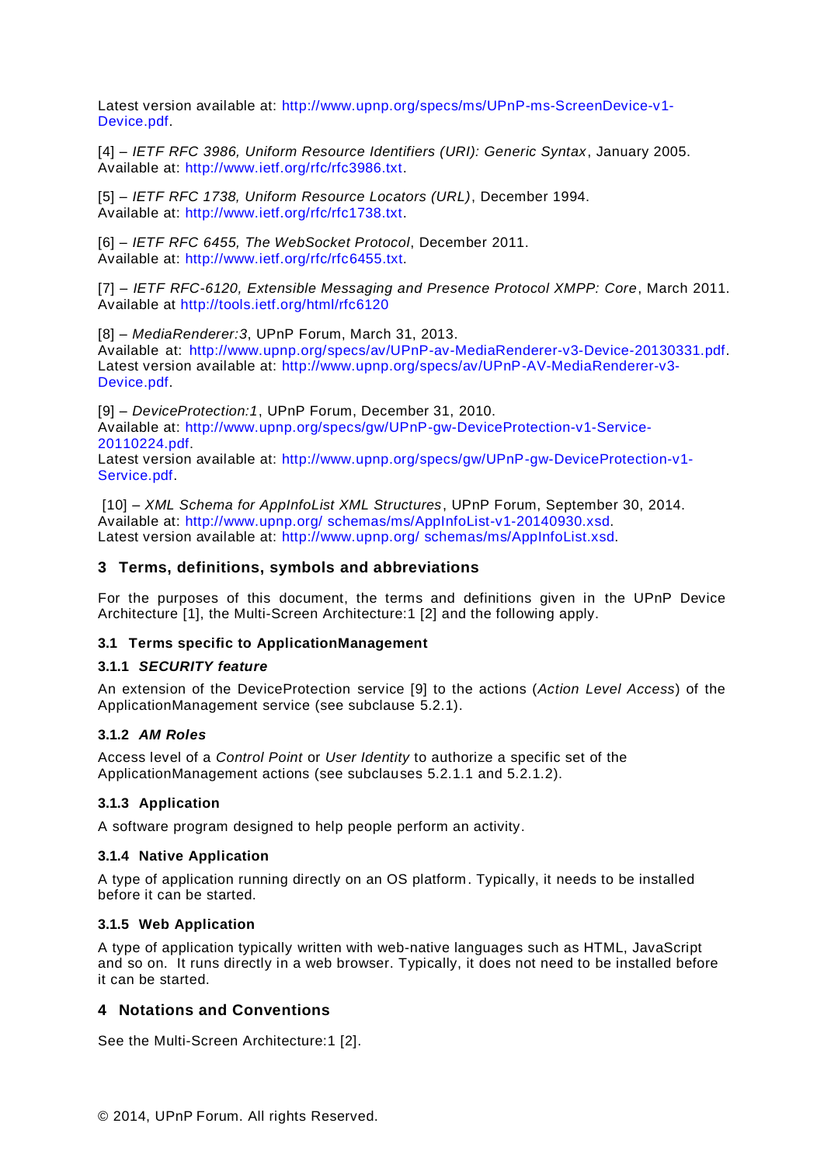Latest version available at: [http://www.upnp.org/specs/ms/UPnP-ms-ScreenDevice-v1-](http://www.upnp.org/specs/ms/UPnP-ms-ScreenDevice-v1-Device.pdf) [Device.pdf.](http://www.upnp.org/specs/ms/UPnP-ms-ScreenDevice-v1-Device.pdf)

<span id="page-3-2"></span>[4] – *IETF RFC 3986, Uniform Resource Identifiers (URI): Generic Syntax*, January 2005. Available at: [http://www.ietf.org/rfc/rfc3986.txt.](http://www.ietf.org/rfc/rfc3986.txt)

<span id="page-3-3"></span>[5] – *IETF RFC 1738, Uniform Resource Locators (URL)*, December 1994. Available at: [http://www.ietf.org/rfc/rfc1738.txt.](http://www.ietf.org/rfc/rfc1738.txt)

<span id="page-3-4"></span>[6] – *IETF RFC 6455, The WebSocket Protocol*, December 2011. Available at: [http://www.ietf.org/rfc/rfc6455.txt.](http://www.ietf.org/rfc/rfc6455.txt)

[7] – *IETF RFC-6120, Extensible Messaging and Presence Protocol XMPP: Core*, March 2011. Available at<http://tools.ietf.org/html/rfc6120>

<span id="page-3-5"></span>[8] – *MediaRenderer:3*, UPnP Forum, March 31, 2013. Available at: [http://www.upnp.org/specs/av/UPnP-av-MediaRenderer-v3-Device-20130331.pdf.](http://www.upnp.org/specs/av/UPnP-av-MediaRenderer-v3-Device-20130331.pdf) Latest version available at: [http://www.upnp.org/specs/av/UPnP-AV-MediaRenderer-v3-](http://www.upnp.org/specs/av/UPnP-AV-MediaRenderer-v3-Device.pdf) [Device.pdf.](http://www.upnp.org/specs/av/UPnP-AV-MediaRenderer-v3-Device.pdf)

<span id="page-3-0"></span>[9] – *DeviceProtection:1*, UPnP Forum, December 31, 2010. Available at: [http://www.upnp.org/specs/gw/UPnP-gw-DeviceProtection-v1-Service-](http://www.upnp.org/specs/gw/UPnP-gw-DeviceProtection-v1-Service-20110224.pdf)[20110224.pdf.](http://www.upnp.org/specs/gw/UPnP-gw-DeviceProtection-v1-Service-20110224.pdf) Latest version available at: [http://www.upnp.org/specs/gw/UPnP-gw-DeviceProtection-v1-](http://www.upnp.org/specs/gw/UPnP-gw-DeviceProtection-v1-Service.pdf) [Service.pdf.](http://www.upnp.org/specs/gw/UPnP-gw-DeviceProtection-v1-Service.pdf)

<span id="page-3-1"></span>[10] – *XML Schema for AppInfoList XML Structures*, UPnP Forum, September 30, 2014. Available at: http://www.upnp.org/ [schemas/ms/AppInfoList-v1-20140930.xsd.](http://www.upnp.org/%20schemas/ms/AppInfoList-v1-20140930.xsd) Latest version available at: http://www.upnp.org/ [schemas/ms/AppInfoList.xsd.](http://www.upnp.org/%20schemas/ms/AppInfoList.xsd)

# **3 Terms, definitions, symbols and abbreviations**

For the purposes of this document, the terms and definitions given in the UPnP Device Architecture [\[1\]](#page-2-0), the Multi-Screen Architecture:1 [\[2\]](#page-2-2) and the following apply.

#### **3.1 Terms specific to ApplicationManagement**

#### **3.1.1** *SECURITY feature*

An extension of the DeviceProtection service [\[9\]](#page-3-0) to the actions (*Action Level Access*) of the ApplicationManagement service (see subclause [5.2.1\)](#page-4-0).

#### **3.1.2** *AM Roles*

Access level of a *Control Point* or *User Identity* to authorize a specific set of the ApplicationManagement actions (see subclauses [5.2.1.1](#page-4-1) and [5.2.1.2\)](#page-5-0).

#### **3.1.3 Application**

A software program designed to help people perform an activity.

#### **3.1.4 Native Application**

A type of application running directly on an OS platform. Typically, it needs to be installed before it can be started.

#### **3.1.5 Web Application**

A type of application typically written with web-native languages such as HTML, JavaScript and so on. It runs directly in a web browser. Typically, it does not need to be installed before it can be started.

#### **4 Notations and Conventions**

See the Multi-Screen Architecture:1 [\[2\]](#page-2-2).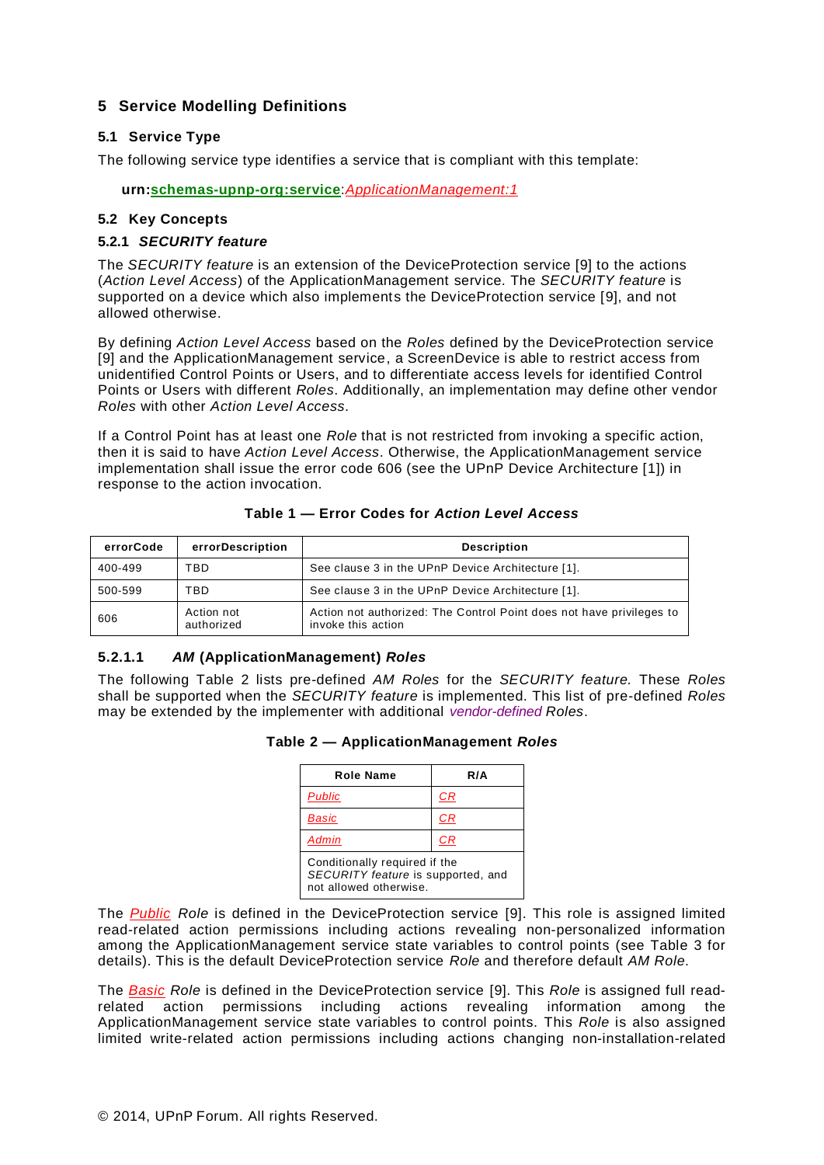# **5 Service Modelling Definitions**

#### **5.1 Service Type**

The following service type identifies a service that is compliant with this template:

**urn:schemas-upnp-org:service**:*ApplicationManagement:1*

### **5.2 Key Concepts**

#### <span id="page-4-0"></span>**5.2.1** *SECURITY feature*

The *SECURITY feature* is an extension of the DeviceProtection service [\[9\]](#page-3-0) to the actions (*Action Level Access*) of the ApplicationManagement service. The *SECURITY feature* is supported on a device which also implements the DeviceProtection service [\[9\]](#page-3-0), and not allowed otherwise.

By defining *Action Level Access* based on the *Roles* defined by the DeviceProtection service [\[9\]](#page-3-0) and the ApplicationManagement service, a ScreenDevice is able to restrict access from unidentified Control Points or Users, and to differentiate access levels for identified Control Points or Users with different *Roles*. Additionally, an implementation may define other vendor *Roles* with other *Action Level Access*.

If a Control Point has at least one *Role* that is not restricted from invoking a specific action, then it is said to have *Action Level Access*. Otherwise, the ApplicationManagement service implementation shall issue the error code 606 (see the UPnP Device Architecture [\[1\]](#page-2-0)) in response to the action invocation.

| errorCode | errorDescription         | <b>Description</b>                                                                         |
|-----------|--------------------------|--------------------------------------------------------------------------------------------|
| 400-499   | TBD                      | See clause 3 in the UPnP Device Architecture [1].                                          |
| 500-599   | TBD                      | See clause 3 in the UPnP Device Architecture [1].                                          |
| 606       | Action not<br>authorized | Action not authorized: The Control Point does not have privileges to<br>invoke this action |

#### **Table 1 — Error Codes for** *Action Level Access*

#### <span id="page-4-1"></span>**5.2.1.1** *AM* **(ApplicationManagement)** *Roles*

The following Table 2 lists pre-defined *AM Roles* for the *SECURITY feature.* These *Roles*  shall be supported when the *SECURITY feature* is implemented. This list of pre-defined *Roles*  may be extended by the implementer with additional *vendor-defined Roles*.

|  | Table 2 - ApplicationManagement Roles |  |
|--|---------------------------------------|--|
|--|---------------------------------------|--|

| Role Name                                                                                     | R/A |
|-----------------------------------------------------------------------------------------------|-----|
| <b>Public</b>                                                                                 | CR  |
| <b>Basic</b>                                                                                  | СR  |
| <b>Admin</b>                                                                                  | CR. |
| Conditionally required if the<br>SECURITY feature is supported, and<br>not allowed otherwise. |     |

The *Public Role* is defined in the DeviceProtection service [\[9\]](#page-3-0). This role is assigned limited read-related action permissions including actions revealing non-personalized information among the ApplicationManagement service state variables to control points (see Table 3 for details). This is the default DeviceProtection service *Role* and therefore default *AM Role*.

The *Basic Role* is defined in the DeviceProtection service [\[9\]](#page-3-0). This *Role* is assigned full readrelated action permissions including actions revealing information among the ApplicationManagement service state variables to control points. This *Role* is also assigned limited write-related action permissions including actions changing non-installation-related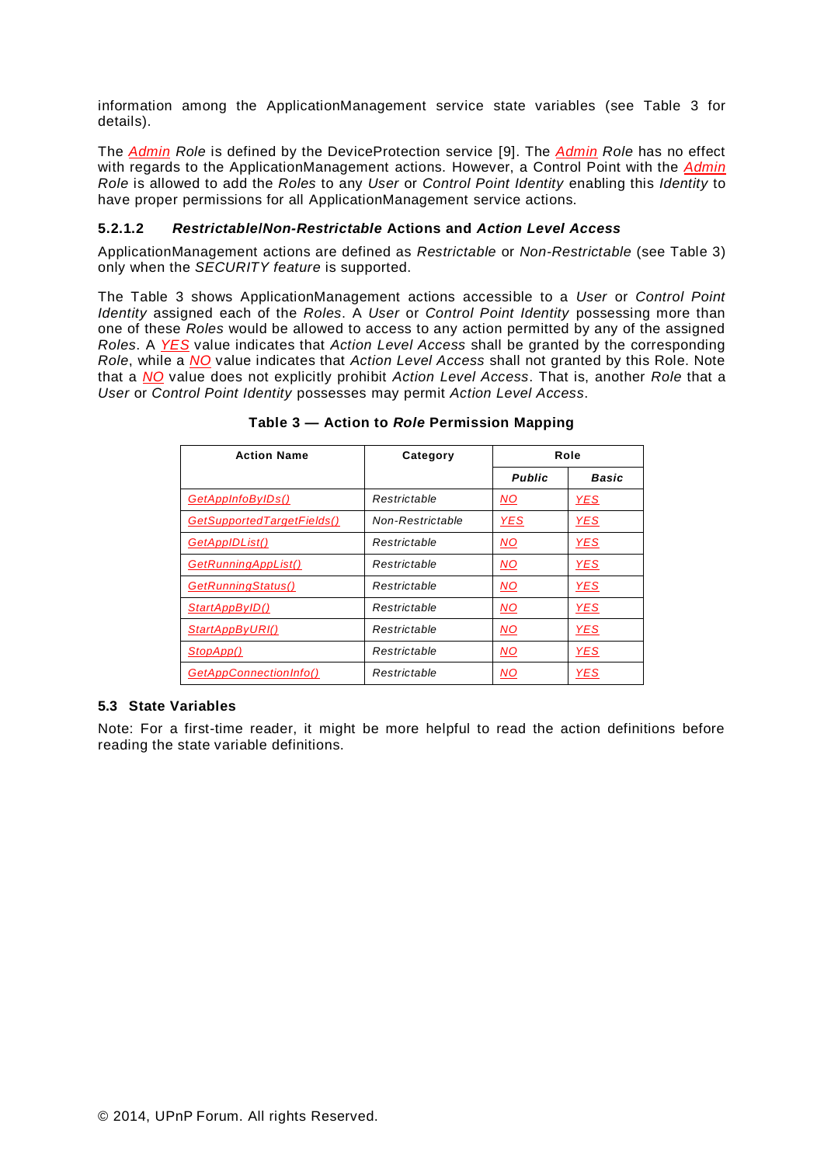information among the ApplicationManagement service state variables (see Table 3 for details).

The *Admin Role* is defined by the DeviceProtection service [\[9\]](#page-3-0). The *Admin Role* has no effect with regards to the ApplicationManagement actions. However, a Control Point with the *Admin Role* is allowed to add the *Roles* to any *User* or *Control Point Identity* enabling this *Identity* to have proper permissions for all ApplicationManagement service actions.

### <span id="page-5-0"></span>**5.2.1.2** *Restrictable***/***Non-Restrictable* **Actions and** *Action Level Access*

ApplicationManagement actions are defined as *Restrictable* or *Non-Restrictable* (see Table 3) only when the *SECURITY feature* is supported.

The Table 3 shows ApplicationManagement actions accessible to a *User* or *Control Point Identity* assigned each of the *Roles*. A *User* or *Control Point Identity* possessing more than one of these *Roles* would be allowed to access to any action permitted by any of the assigned *Roles*. A *YES* value indicates that *Action Level Access* shall be granted by the corresponding *Role*, while a *NO* value indicates that *Action Level Access* shall not granted by this Role. Note that a *NO* value does not explicitly prohibit *Action Level Access*. That is, another *Role* that a *User* or *Control Point Identity* possesses may permit *Action Level Access*.

| <b>Action Name</b>         | Category         |               | Role       |
|----------------------------|------------------|---------------|------------|
|                            |                  | <b>Public</b> | Basic      |
| GetAppInfoByIDs()          | Restrictable     | <b>NO</b>     | <b>YES</b> |
| GetSupportedTargetFields() | Non-Restrictable | <b>YES</b>    | <b>YES</b> |
| <b>GetAppIDList()</b>      | Restrictable     | <b>NO</b>     | <u>YES</u> |
| GetRunningAppList()        | Restrictable     | <b>NO</b>     | <u>YES</u> |
| GetRunningStatus()         | Restrictable     | <b>NO</b>     | <b>YES</b> |
| StartAppByID()             | Restrictable     | NO.           | <b>YES</b> |
| StartAppByURI()            | Restrictable     | <b>NO</b>     | <b>YES</b> |
| StopApp()                  | Restrictable     | <b>NO</b>     | <b>YES</b> |
| GetAppConnectionInfo()     | Restrictable     | <b>NO</b>     | <b>YES</b> |

**Table 3 — Action to** *Role* **Permission Mapping**

#### **5.3 State Variables**

Note: For a first-time reader, it might be more helpful to read the action definitions before reading the state variable definitions.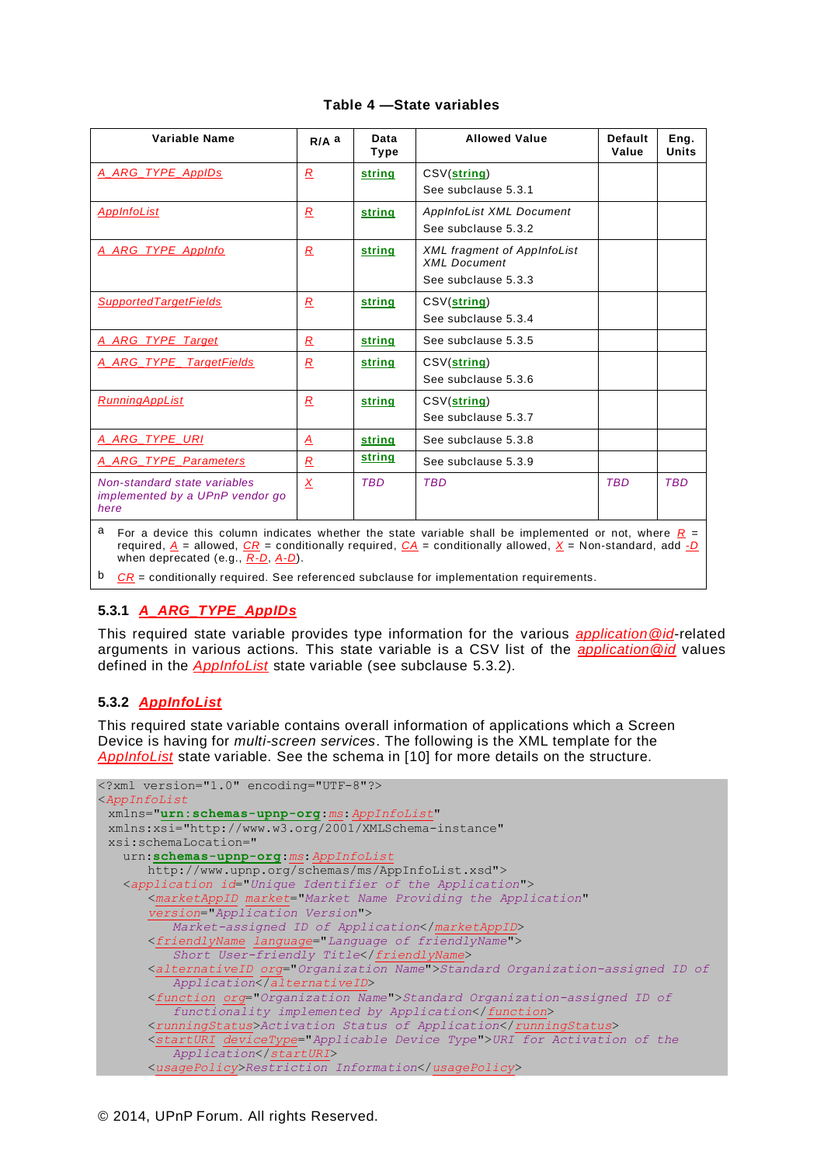#### **Table 4 —State variables**

| Variable Name                                                                                                                                                                                                                                                        | $R/A$ a        | Data<br>Type | <b>Allowed Value</b>                                      | <b>Default</b><br>Value | Eng.<br><b>Units</b> |  |
|----------------------------------------------------------------------------------------------------------------------------------------------------------------------------------------------------------------------------------------------------------------------|----------------|--------------|-----------------------------------------------------------|-------------------------|----------------------|--|
| A_ARG_TYPE_AppIDs                                                                                                                                                                                                                                                    | $\overline{R}$ | string       | CSV(string)                                               |                         |                      |  |
|                                                                                                                                                                                                                                                                      |                |              | See subclause 5.3.1                                       |                         |                      |  |
| <b>AppInfoList</b>                                                                                                                                                                                                                                                   | $\overline{R}$ | string       | AppInfoList XML Document                                  |                         |                      |  |
|                                                                                                                                                                                                                                                                      |                |              | See subclause 5.3.2                                       |                         |                      |  |
| A ARG TYPE AppInfo                                                                                                                                                                                                                                                   | $\overline{R}$ | string       | <b>XML fragment of AppInfoList</b><br><b>XML</b> Document |                         |                      |  |
|                                                                                                                                                                                                                                                                      |                |              | See subclause 5.3.3                                       |                         |                      |  |
| <b>SupportedTargetFields</b>                                                                                                                                                                                                                                         | $\overline{R}$ | string       | CSV(string)                                               |                         |                      |  |
|                                                                                                                                                                                                                                                                      |                |              | See subclause 5.3.4                                       |                         |                      |  |
| A_ARG_TYPE_Target                                                                                                                                                                                                                                                    | R              | string       | See subclause 5.3.5                                       |                         |                      |  |
| A ARG TYPE TargetFields                                                                                                                                                                                                                                              | $\overline{R}$ | string       | CSV(string)                                               |                         |                      |  |
|                                                                                                                                                                                                                                                                      |                |              | See subclause 5.3.6                                       |                         |                      |  |
| <b>RunningAppList</b>                                                                                                                                                                                                                                                | $\overline{R}$ | string       | CSV(string)                                               |                         |                      |  |
|                                                                                                                                                                                                                                                                      |                |              | See subclause 5.3.7                                       |                         |                      |  |
| A ARG TYPE URI                                                                                                                                                                                                                                                       | A              | string       | See subclause 5.3.8                                       |                         |                      |  |
| A_ARG_TYPE_Parameters                                                                                                                                                                                                                                                | $\mathcal{R}$  | string       | See subclause 5.3.9                                       |                         |                      |  |
| Non-standard state variables<br>implemented by a UPnP vendor go<br>here                                                                                                                                                                                              | X              | <b>TBD</b>   | <b>TBD</b>                                                | <b>TBD</b>              | <b>TBD</b>           |  |
| a<br>For a device this column indicates whether the state variable shall be implemented or not, where $R =$<br>required, $A =$ allowed, $CR =$ conditionally required, $CA =$ conditionally allowed, $X =$ Non-standard, add -D<br>when deprecated (e.g., R-D, A-D). |                |              |                                                           |                         |                      |  |

<span id="page-6-0"></span>b *CR* = conditionally required. See referenced subclause for implementation requirements.

# <span id="page-6-1"></span>**5.3.1** *A\_ARG\_TYPE\_AppIDs*

This required state variable provides type information for the various *application@id*-related arguments in various actions. This state variable is a CSV list of the *application@id* values defined in the *AppInfoList* state variable (see subclause [5.3.2\)](#page-6-2).

# <span id="page-6-2"></span>**5.3.2** *AppInfoList*

This required state variable contains overall information of applications which a Screen Device is having for *multi-screen services*. The following is the XML template for the *AppInfoList* state variable. See the schema in [\[10\]](#page-3-1) for more details on the structure.

```
<?xml version="1.0" encoding="UTF-8"?>
<AppInfoList
 xmlns="urn:schemas-upnp-org:ms:AppInfoList"
 xmlns:xsi="http://www.w3.org/2001/XMLSchema-instance"
 xsi:schemaLocation="
   urn:schemas-upnp-org:ms:AppInfoList
      http://www.upnp.org/schemas/ms/AppInfoList.xsd"> 
   <application id="Unique Identifier of the Application">
       <marketAppID market="Market Name Providing the Application"
       version="Application Version">
          Market-assigned ID of Application</marketAppID>
       <friendlyName language="Language of friendlyName">
          Short User-friendly Title</friendlyName>
      <alternativeID org="Organization Name">Standard Organization-assigned ID of 
         Application</alternativeID>
      <function org="Organization Name">Standard Organization-assigned ID of 
         functionality implemented by Application</function>
      <runningStatus>Activation Status of Application</runningStatus>
      <startURI deviceType="Applicable Device Type">URI for Activation of the 
          Application</startURI>
      <usagePolicy>Restriction Information</usagePolicy>
```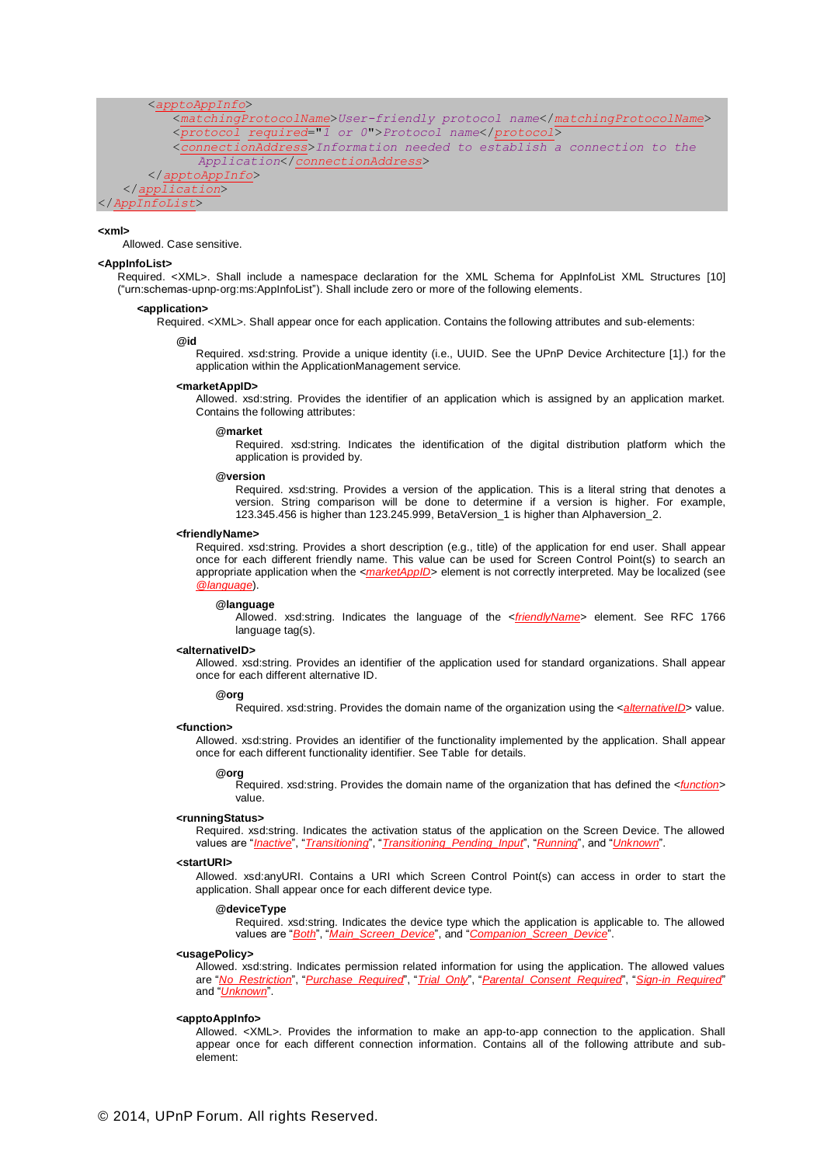<*apptoAppInfo*>

<*matchingProtocolName*>*User-friendly protocol name*</*matchingProtocolName*> <*protocol required*="*1 or 0*">*Protocol name*</*protocol*> <*connectionAddress*>*Information needed to establish a connection to the Application*</*connectionAddress*> </*apptoAppInfo*> </*application*> </*AppInfoList*>

#### **<xml>**

Allowed. Case sensitive.

#### **<AppInfoList>**

Required. <XML>. Shall include a namespace declaration for the XML Schema for AppInfoList XML Structures [\[10\]](#page-3-1) ("urn:schemas-upnp-org:ms:AppInfoList"). Shall include zero or more of the following elements.

#### **<application>**

Required. <XML>. Shall appear once for each application. Contains the following attributes and sub-elements:

#### **@id**

Required. xsd:string. Provide a unique identity (i.e., UUID. See the UPnP Device Architecture [\[1\].](#page-2-0)) for the application within the ApplicationManagement service.

#### **<marketAppID>**

Allowed. xsd:string. Provides the identifier of an application which is assigned by an application market. Contains the following attributes:

#### **@market**

Required. xsd:string. Indicates the identification of the digital distribution platform which the application is provided by.

#### **@version**

Required. xsd:string. Provides a version of the application. This is a literal string that denotes a version. String comparison will be done to determine if a version is higher. For example, 123.345.456 is higher than 123.245.999, BetaVersion\_1 is higher than Alphaversion\_2.

#### **<friendlyName>**

Required. xsd:string. Provides a short description (e.g., title) of the application for end user. Shall appear once for each different friendly name. This value can be used for Screen Control Point(s) to search an appropriate application when the <*marketAppID*> element is not correctly interpreted. May be localized (see *@language*).

#### **@language**

Allowed. xsd:string. Indicates the language of the <*friendlyName*> element. See RFC 1766 language tag(s).

#### **<alternativeID>**

Allowed. xsd:string. Provides an identifier of the application used for standard organizations. Shall appear once for each different alternative ID.

#### **@org**

Required. xsd:string. Provides the domain name of the organization using the <*alternativeID*> value.

#### **<function>**

Allowed. xsd:string. Provides an identifier of the functionality implemented by the application. Shall appear once for each different functionality identifier. See [Table f](#page-8-0)or details.

#### **@org**

Required. xsd:string. Provides the domain name of the organization that has defined the <*function*> value.

#### **<runningStatus>**

Required. xsd:string. Indicates the activation status of the application on the Screen Device. The allowed values are "*Inactive*", "*Transitioning*", "*Transitioning\_Pending\_Input*", "*Running*", and "*Unknown*".

#### **<startURI>**

Allowed. xsd:anyURI. Contains a URI which Screen Control Point(s) can access in order to start the application. Shall appear once for each different device type.

#### **@deviceType**

Required. xsd:string. Indicates the device type which the application is applicable to. The allowed values are "*Both*", "*Main\_Screen\_Device*", and "*Companion\_Screen\_Device*".

#### **<usagePolicy>**

Allowed. xsd:string. Indicates permission related information for using the application. The allowed values are "*No\_Restriction*", "*Purchase\_Required*", "*Trial\_Only*", "*Parental\_Consent\_Required*", "*Sign-in\_Required*" and "*Unknown*".

#### **<apptoAppInfo>**

Allowed. <XML>. Provides the information to make an app-to-app connection to the application. Shall appear once for each different connection information. Contains all of the following attribute and subelement: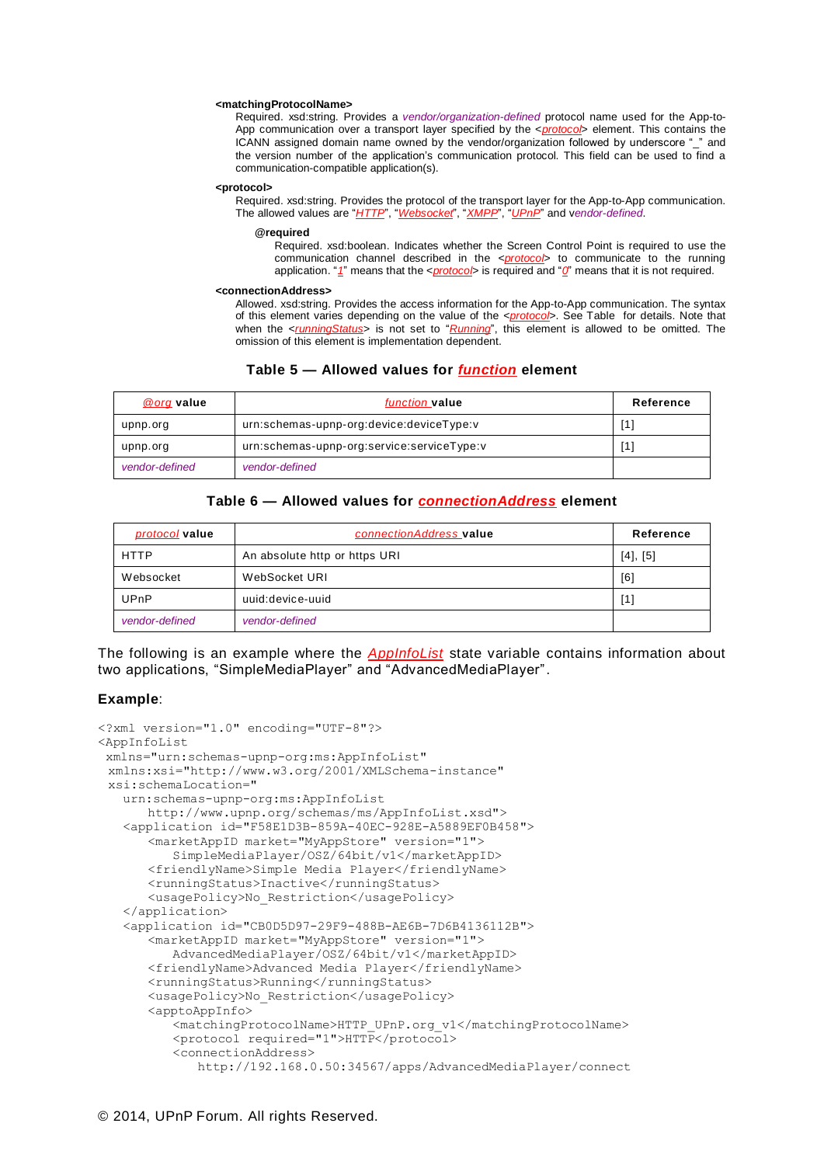#### **<matchingProtocolName>**

Required. xsd:string. Provides a *vendor/organization-defined* protocol name used for the App-to-App communication over a transport layer specified by the <*protocol*> element. This contains the ICANN assigned domain name owned by the vendor/organization followed by underscore "\_" and the version number of the application's communication protocol. This field can be used to find a communication-compatible application(s).

#### **<protocol>**

Required. xsd:string. Provides the protocol of the transport layer for the App-to-App communication. The allowed values are "*HTTP*", "*Websocket*", "*XMPP*", "*UPnP*" and v*endor-defined*.

#### **@required**

Required. xsd:boolean. Indicates whether the Screen Control Point is required to use the communication channel described in the <*protocol*> to communicate to the running application. "*1*" means that the <*protocol*> is required and "*0*" means that it is not required.

#### **<connectionAddress>**

Allowed. xsd:string. Provides the access information for the App-to-App communication. The syntax of this element varies depending on the value of the <*protocol*>. See [Table](#page-8-1) for details. Note that when the <*runningStatus*> is not set to "*Running*", this element is allowed to be omitted. The omission of this element is implementation dependent.

#### **Table 5 — Allowed values for** *function* **element**

<span id="page-8-0"></span>

| @org value     | <i>function</i> value                      | Reference |
|----------------|--------------------------------------------|-----------|
| upnp.org       | urn:schemas-upnp-org:device:deviceType:v   | [1        |
| upnp.org       | urn:schemas-upnp-org:service:serviceType:v | [1]       |
| vendor-defined | vendor-defined                             |           |

#### **Table 6 — Allowed values for** *connectionAddress* **element**

<span id="page-8-1"></span>

| <i>protocol</i> value | connectionAddress value       | Reference |
|-----------------------|-------------------------------|-----------|
| <b>HTTP</b>           | An absolute http or https URI | [4], [5]  |
| Websocket             | WebSocket URI                 | [6]       |
| UPnP                  | uuid:device-uuid              | [1]       |
| vendor-defined        | vendor-defined                |           |

The following is an example where the *AppInfoList* state variable contains information about two applications, "SimpleMediaPlayer" and "AdvancedMediaPlayer".

#### **Example**:

```
<?xml version="1.0" encoding="UTF-8"?>
<AppInfoList
xmlns="urn:schemas-upnp-org:ms:AppInfoList"
 xmlns:xsi="http://www.w3.org/2001/XMLSchema-instance"
 xsi:schemaLocation="
   urn:schemas-upnp-org:ms:AppInfoList
      http://www.upnp.org/schemas/ms/AppInfoList.xsd"> 
   <application id="F58E1D3B-859A-40EC-928E-A5889EF0B458">
      <marketAppID market="MyAppStore" version="1">
          SimpleMediaPlayer/OSZ/64bit/v1</marketAppID>
      <friendlyName>Simple Media Player</friendlyName>
      <runningStatus>Inactive</runningStatus>
      <usagePolicy>No_Restriction</usagePolicy>
   </application>
   <application id="CB0D5D97-29F9-488B-AE6B-7D6B4136112B">
      <marketAppID market="MyAppStore" version="1">
          AdvancedMediaPlayer/OSZ/64bit/v1</marketAppID>
      <friendlyName>Advanced Media Player</friendlyName>
      <runningStatus>Running</runningStatus>
      <usagePolicy>No_Restriction</usagePolicy>
      <apptoAppInfo>
          <matchingProtocolName>HTTP_UPnP.org_v1</matchingProtocolName>
          <protocol required="1">HTTP</protocol>
          <connectionAddress>
             http://192.168.0.50:34567/apps/AdvancedMediaPlayer/connect
```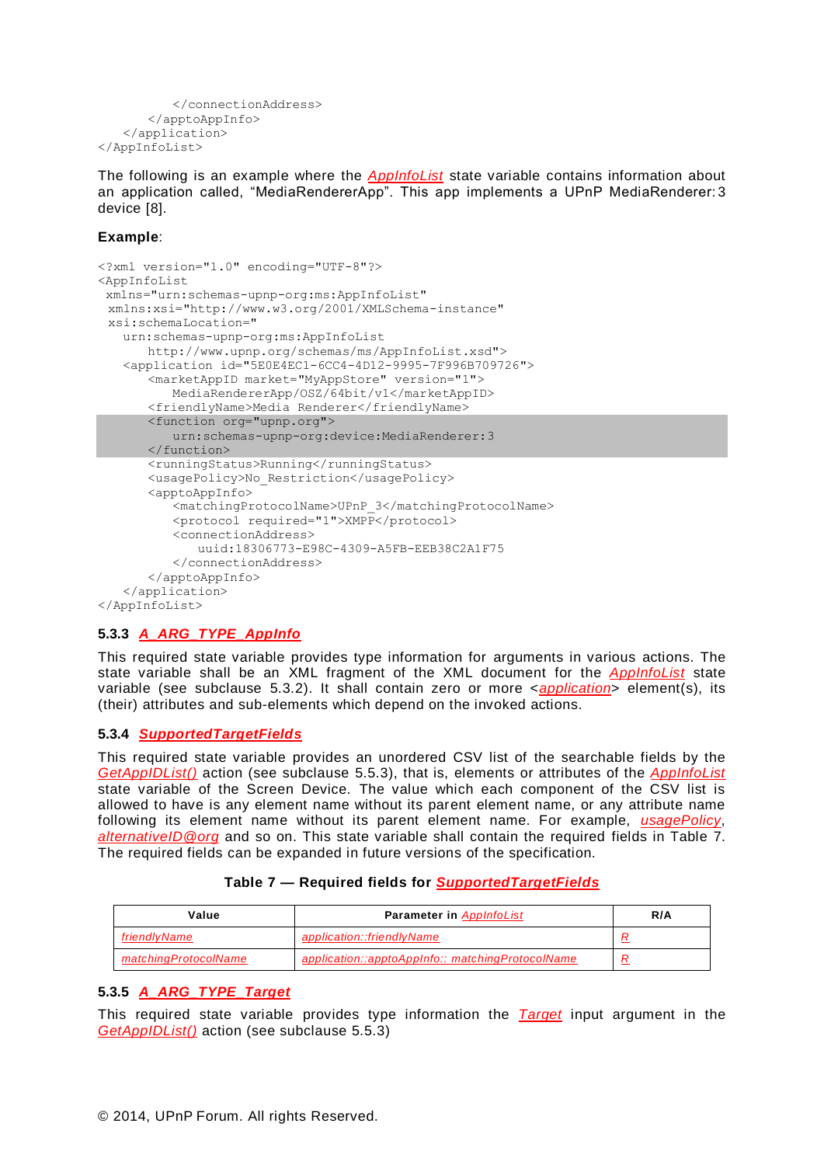```
</connectionAddress>
       </apptoAppInfo>
   </application>
</AppInfoList>
```
The following is an example where the *AppInfoList* state variable contains information about an application called, "MediaRendererApp". This app implements a UPnP MediaRenderer: 3 device [\[8\]](#page-3-5).

#### **Example**:

```
<?xml version="1.0" encoding="UTF-8"?>
<AppInfoList
xmlns="urn:schemas-upnp-org:ms:AppInfoList"
 xmlns:xsi="http://www.w3.org/2001/XMLSchema-instance"
 xsi:schemaLocation="
   urn:schemas-upnp-org:ms:AppInfoList
      http://www.upnp.org/schemas/ms/AppInfoList.xsd"> 
   <application id="5E0E4EC1-6CC4-4D12-9995-7F996B709726">
      <marketAppID market="MyAppStore" version="1">
          MediaRendererApp/OSZ/64bit/v1</marketAppID>
      <friendlyName>Media Renderer</friendlyName>
      <function org="upnp.org">
         urn:schemas-upnp-org:device:MediaRenderer:3
      </function>
      <runningStatus>Running</runningStatus>
      <usagePolicy>No_Restriction</usagePolicy>
      <apptoAppInfo>
          <matchingProtocolName>UPnP_3</matchingProtocolName>
          <protocol required="1">XMPP</protocol>
          <connectionAddress>
             uuid:18306773-E98C-4309-A5FB-EEB38C2A1F75
          </connectionAddress>
      </apptoAppInfo>
   </application>
</AppInfoList>
```
# <span id="page-9-0"></span>**5.3.3** *A\_ARG\_TYPE\_AppInfo*

This required state variable provides type information for arguments in various actions. The state variable shall be an XML fragment of the XML document for the *AppInfoList* state variable (see subclause [5.3.2\)](#page-6-2). It shall contain zero or more <*application*> element(s), its (their) attributes and sub-elements which depend on the invoked actions.

#### <span id="page-9-1"></span>**5.3.4** *SupportedTargetFields*

This required state variable provides an unordered CSV list of the searchable fields by the *GetAppIDList()* action (see subclause [5.5.3\)](#page-12-0), that is, elements or attributes of the *AppInfoList* state variable of the Screen Device. The value which each component of the CSV list is allowed to have is any element name without its parent element name, or any attribute name following its element name without its parent element name. For example, *usagePolicy*, *alternativeID@org* and so on. This state variable shall contain the required fields in Table 7. The required fields can be expanded in future versions of the specification.

#### **Table 7 — Required fields for** *SupportedTargetFields*

| Value                | <b>Parameter in AppInfoList</b>                  | R/A |
|----------------------|--------------------------------------------------|-----|
| friendlyName         | application::friendlyName                        |     |
| matchingProtocolName | application::apptoAppInfo:: matchingProtocolName |     |

#### <span id="page-9-2"></span>**5.3.5** *A\_ARG\_TYPE\_Target*

This required state variable provides type information the *Target* input argument in the *GetAppIDList()* action (see subclause [5.5.3\)](#page-12-0)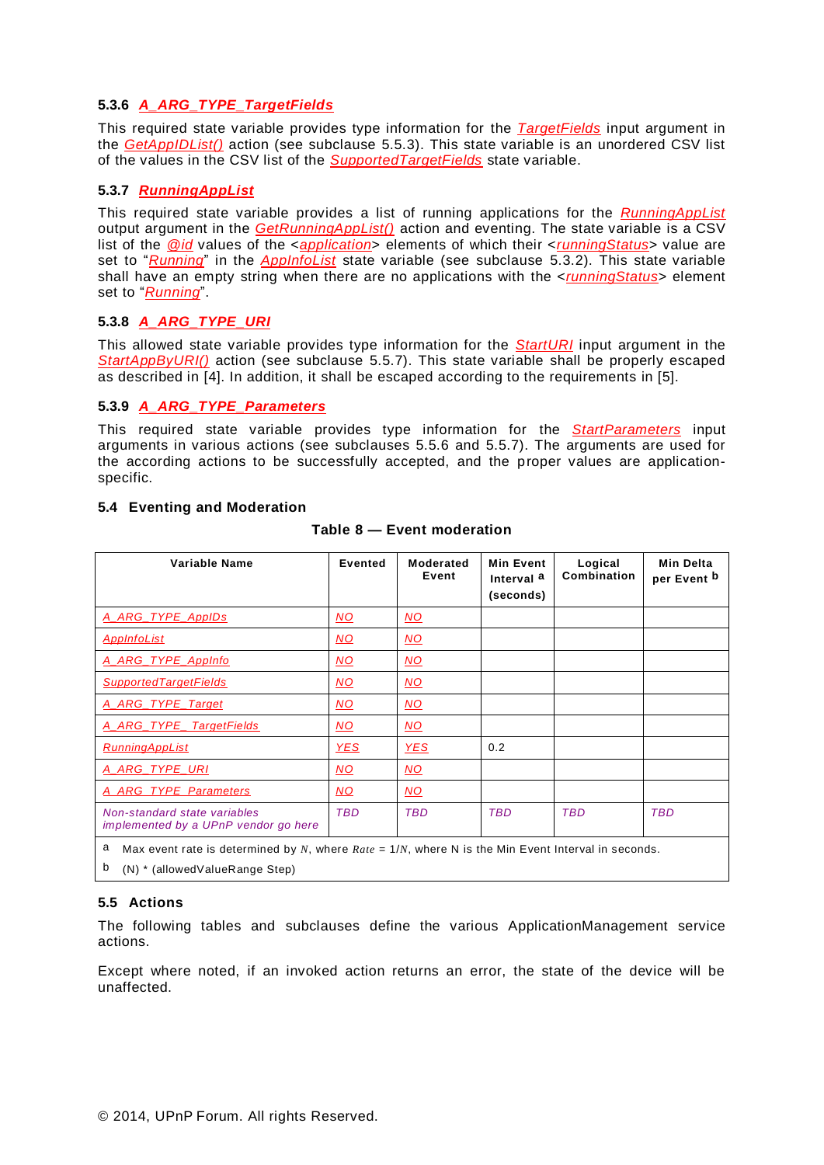## <span id="page-10-0"></span>**5.3.6** *A\_ARG\_TYPE\_TargetFields*

This required state variable provides type information for the *TargetFields* input argument in the *GetAppIDList()* action (see subclause [5.5.3\)](#page-12-0). This state variable is an unordered CSV list of the values in the CSV list of the *SupportedTargetFields* state variable.

### <span id="page-10-1"></span>**5.3.7** *RunningAppList*

This required state variable provides a list of running applications for the *RunningAppList* output argument in the *GetRunningAppList()* action and eventing. The state variable is a CSV list of the *@id* values of the <*application*> elements of which their <*runningStatus*> value are set to "*Running*" in the *AppInfoList* state variable (see subclause [5.3.2\)](#page-6-2). This state variable shall have an empty string when there are no applications with the <*runningStatus*> element set to "*Running*".

#### <span id="page-10-2"></span>**5.3.8** *A\_ARG\_TYPE\_URI*

This allowed state variable provides type information for the *StartURI* input argument in the *StartAppByURI()* action (see subclause [5.5.7\)](#page-15-0). This state variable shall be properly escaped as described in [\[4\]](#page-3-2). In addition, it shall be escaped according to the requirements in [\[5\]](#page-3-3).

#### <span id="page-10-3"></span>**5.3.9** *A\_ARG\_TYPE\_Parameters*

This required state variable provides type information for the *StartParameters* input arguments in various actions (see subclauses [5.5.6](#page-14-0) and [5.5.7\)](#page-15-0). The arguments are used for the according actions to be successfully accepted, and the proper values are applicationspecific.

#### **5.4 Eventing and Moderation**

| Variable Name                                                        | <b>Evented</b>            | <b>Moderated</b><br>Event | <b>Min Event</b><br>Interval a<br>(seconds) | Logical<br>Combination | <b>Min Delta</b><br>per Event b |
|----------------------------------------------------------------------|---------------------------|---------------------------|---------------------------------------------|------------------------|---------------------------------|
| A_ARG_TYPE_AppIDs                                                    | $\underline{\mathsf{NO}}$ | <u>NO</u>                 |                                             |                        |                                 |
| <b>AppInfoList</b>                                                   | $\overline{MO}$           | $\underline{MO}$          |                                             |                        |                                 |
| A ARG TYPE AppInfo                                                   | <u>NO</u>                 | <u>NO</u>                 |                                             |                        |                                 |
| <b>SupportedTargetFields</b>                                         | $\underline{\mathsf{NO}}$ | $\underline{\mathsf{NO}}$ |                                             |                        |                                 |
| A ARG TYPE Target                                                    | $\overline{MO}$           | $\overline{MQ}$           |                                             |                        |                                 |
| A_ARG_TYPE_TargetFields                                              | $\underline{\mathsf{NO}}$ | <u>NO</u>                 |                                             |                        |                                 |
| <b>RunningAppList</b>                                                | <b>YES</b>                | <b>YES</b>                | 0.2                                         |                        |                                 |
| A_ARG_TYPE_URI                                                       | $\underline{\mathsf{NO}}$ | $\underline{\mathsf{NO}}$ |                                             |                        |                                 |
| <b>A ARG TYPE Parameters</b>                                         | $\overline{MO}$           | NO.                       |                                             |                        |                                 |
| Non-standard state variables<br>implemented by a UPnP vendor go here | <b>TBD</b>                | <b>TBD</b>                | <b>TBD</b>                                  | <b>TBD</b>             | <b>TBD</b>                      |

#### **Table 8 — Event moderation**

<span id="page-10-4"></span>a Max event rate is determined by *N*, where *Rate* = 1/*N*, where N is the Min Event Interval in seconds.

<span id="page-10-5"></span>b (N) \* (allowedValueRange Step)

#### **5.5 Actions**

The following tables and subclauses define the various ApplicationManagement service actions.

Except where noted, if an invoked action returns an error, the state of the device will be unaffected.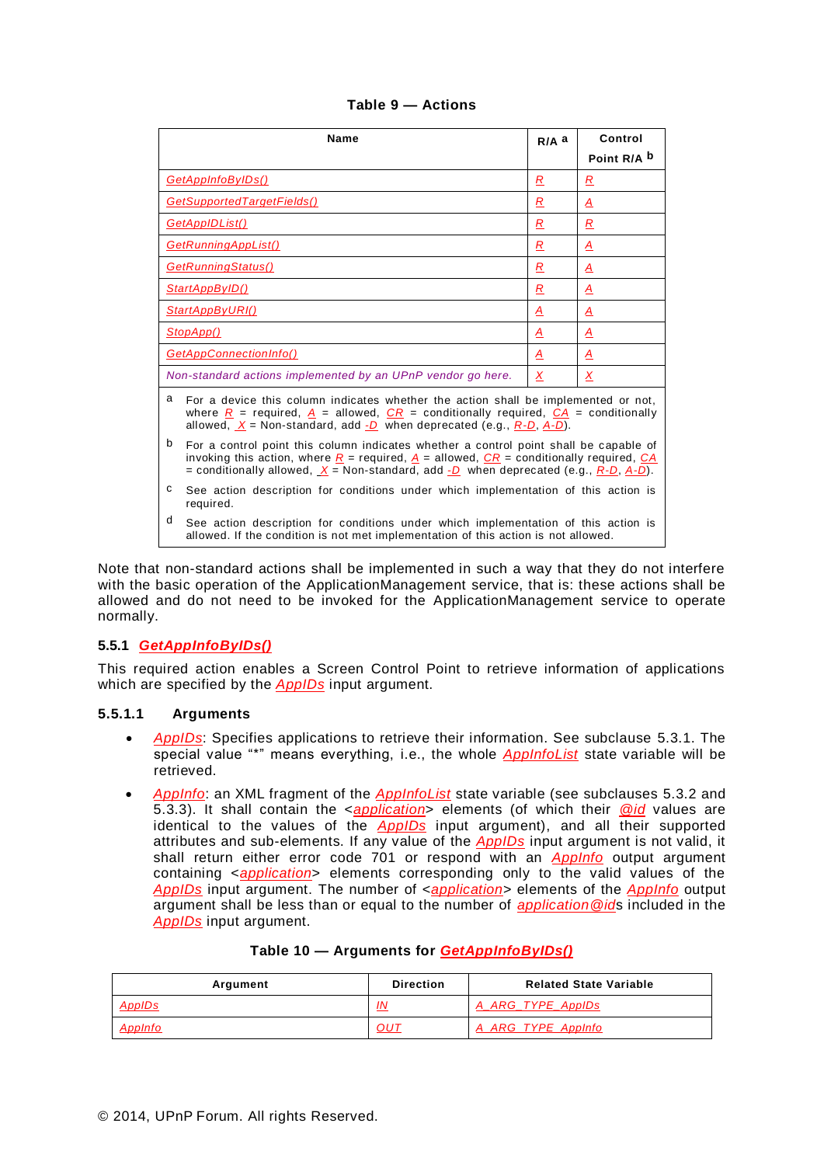|                                                                                                                                                                                                                                                                                                              | <b>Name</b>                                                                                                                                                                                                                                                                                                                                               | $R/A$ a        | Control                  |
|--------------------------------------------------------------------------------------------------------------------------------------------------------------------------------------------------------------------------------------------------------------------------------------------------------------|-----------------------------------------------------------------------------------------------------------------------------------------------------------------------------------------------------------------------------------------------------------------------------------------------------------------------------------------------------------|----------------|--------------------------|
|                                                                                                                                                                                                                                                                                                              |                                                                                                                                                                                                                                                                                                                                                           |                | Point R/A b              |
|                                                                                                                                                                                                                                                                                                              | GetAppInfoByIDs()                                                                                                                                                                                                                                                                                                                                         | $\overline{R}$ | $\overline{\mathcal{R}}$ |
|                                                                                                                                                                                                                                                                                                              | GetSupportedTargetFields()                                                                                                                                                                                                                                                                                                                                | R              | Δ                        |
|                                                                                                                                                                                                                                                                                                              | GetAppIDList()                                                                                                                                                                                                                                                                                                                                            | R              | R                        |
|                                                                                                                                                                                                                                                                                                              | GetRunningAppList()                                                                                                                                                                                                                                                                                                                                       | $\overline{R}$ | $\overline{A}$           |
|                                                                                                                                                                                                                                                                                                              | GetRunningStatus()                                                                                                                                                                                                                                                                                                                                        | R              | $\overline{A}$           |
|                                                                                                                                                                                                                                                                                                              | StartAppByID()                                                                                                                                                                                                                                                                                                                                            | R              | A                        |
| StartAppByURI()<br>$\overline{A}$                                                                                                                                                                                                                                                                            |                                                                                                                                                                                                                                                                                                                                                           |                | $\overline{A}$           |
| StopApp()<br>Δ<br>Δ                                                                                                                                                                                                                                                                                          |                                                                                                                                                                                                                                                                                                                                                           |                |                          |
| <b>GetAppConnectionInfo()</b><br>A                                                                                                                                                                                                                                                                           |                                                                                                                                                                                                                                                                                                                                                           |                | A                        |
| Non-standard actions implemented by an UPnP vendor go here.<br>X                                                                                                                                                                                                                                             |                                                                                                                                                                                                                                                                                                                                                           |                | X                        |
| a<br>For a device this column indicates whether the action shall be implemented or not,<br>where $\underline{R}$ = required, $\underline{A}$ = allowed, $\underline{C}R$ = conditionally required, $\underline{C}A$ = conditionally<br>allowed, $X =$ Non-standard, add -D when deprecated (e.g., R-D, A-D). |                                                                                                                                                                                                                                                                                                                                                           |                |                          |
| b                                                                                                                                                                                                                                                                                                            | For a control point this column indicates whether a control point shall be capable of<br>invoking this action, where $\underline{R}$ = required, $\underline{A}$ = allowed, $\underline{CR}$ = conditionally required, $\underline{CA}$<br>= conditionally allowed, $\underline{X}$ = Non-standard, add $\underline{D}$ when deprecated (e.g., R-D, A-D). |                |                          |
| c                                                                                                                                                                                                                                                                                                            | See action description for conditions under which implementation of this action is<br>required.                                                                                                                                                                                                                                                           |                |                          |
| d                                                                                                                                                                                                                                                                                                            | See action description for conditions under which implementation of this action is<br>allowed. If the condition is not met implementation of this action is not allowed.                                                                                                                                                                                  |                |                          |

| Table 9 – Actions |  |  |  |
|-------------------|--|--|--|
|-------------------|--|--|--|

<span id="page-11-1"></span><span id="page-11-0"></span>Note that non-standard actions shall be implemented in such a way that they do not interfere with the basic operation of the ApplicationManagement service, that is: these actions shall be allowed and do not need to be invoked for the ApplicationManagement service to operate normally.

#### **5.5.1** *GetAppInfoByIDs()*

This required action enables a Screen Control Point to retrieve information of applications which are specified by the *AppIDs* input argument.

#### **5.5.1.1 Arguments**

- *AppIDs*: Specifies applications to retrieve their information. See subclause [5.3.1.](#page-6-1) The special value "\*" means everything, i.e., the whole *AppInfoList* state variable will be retrieved.
- *AppInfo*: an XML fragment of the *AppInfoList* state variable (see subclauses [5.3.2](#page-6-2) and [5.3.3\)](#page-9-0). It shall contain the <*application*> elements (of which their *@id* values are identical to the values of the *AppIDs* input argument), and all their supported attributes and sub-elements. If any value of the *AppIDs* input argument is not valid, it shall return either error code 701 or respond with an *AppInfo* output argument containing <*application*> elements corresponding only to the valid values of the *AppIDs* input argument. The number of <*application*> elements of the *AppInfo* output argument shall be less than or equal to the number of *application@id*s included in the *AppIDs* input argument.

| Argument       | <b>Direction</b> | <b>Related State Variable</b> |
|----------------|------------------|-------------------------------|
| <b>AppIDs</b>  | IN               | A ARG TYPE ApplDs             |
| <b>AppInfc</b> | <u>OUT</u>       | A ARG TYPE AppInfo            |

#### **Table 10 — Arguments for** *GetAppInfoByIDs()*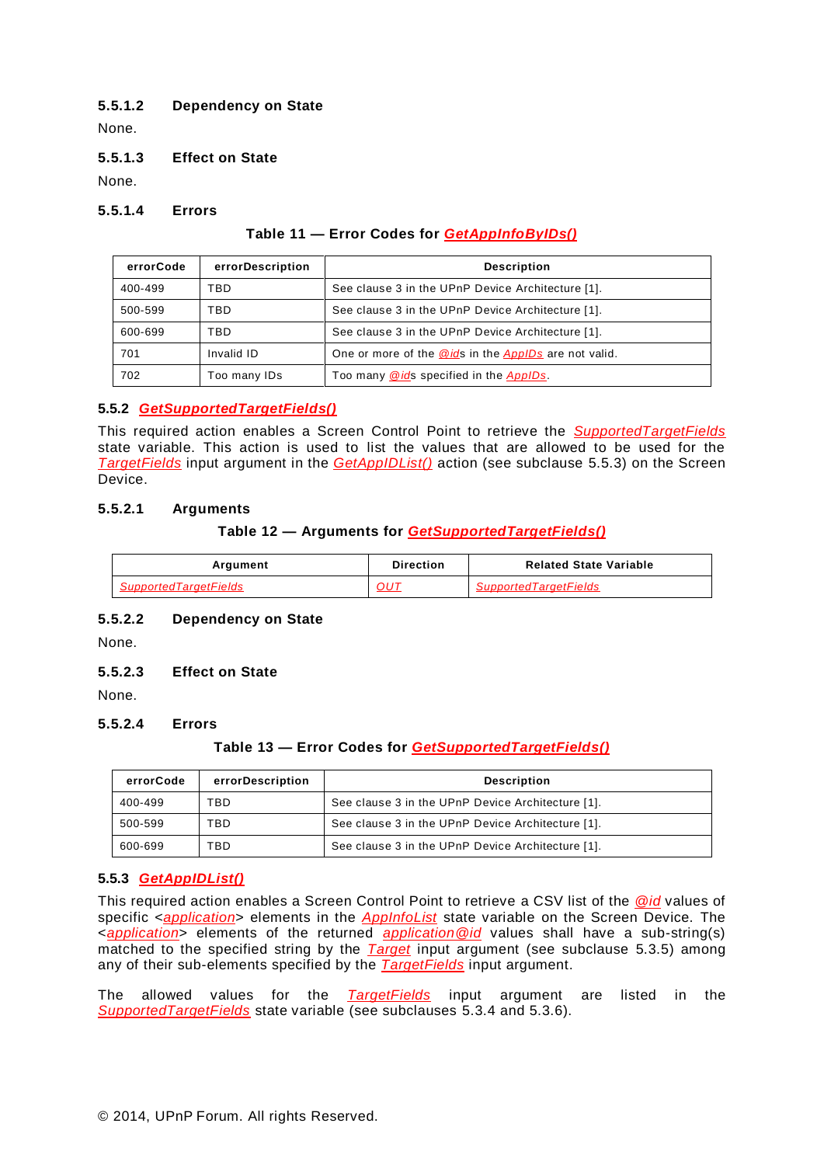## **5.5.1.2 Dependency on State**

None.

#### **5.5.1.3 Effect on State**

None.

#### **5.5.1.4 Errors**

#### **Table 11 — Error Codes for** *GetAppInfoByIDs()*

| errorCode | errorDescription | <b>Description</b>                                   |
|-----------|------------------|------------------------------------------------------|
| 400-499   | TBD              | See clause 3 in the UPnP Device Architecture [1].    |
| 500-599   | TBD              | See clause 3 in the UPnP Device Architecture [1].    |
| 600-699   | TBD              | See clause 3 in the UPnP Device Architecture [1].    |
| 701       | Invalid ID       | One or more of the @ids in the AppIDs are not valid. |
| 702       | Too many IDs     | Too many @ids specified in the AppIDs.               |

### **5.5.2** *GetSupportedTargetFields()*

This required action enables a Screen Control Point to retrieve the *SupportedTargetFields* state variable. This action is used to list the values that are allowed to be used for the *TargetFields* input argument in the *GetAppIDList()* action (see subclause [5.5.3\)](#page-12-0) on the Screen Device.

### **5.5.2.1 Arguments**

#### **Table 12 — Arguments for** *GetSupportedTargetFields()*

| Argument                     | <b>Direction</b> | <b>Related State Variable</b> |
|------------------------------|------------------|-------------------------------|
| <b>SupportedTargetFields</b> | OU1              | <b>SupportedTargetFields</b>  |

#### **5.5.2.2 Dependency on State**

None.

#### **5.5.2.3 Effect on State**

None.

## **5.5.2.4 Errors**

#### **Table 13 — Error Codes for** *GetSupportedTargetFields()*

| errorCode | errorDescription | <b>Description</b>                                |
|-----------|------------------|---------------------------------------------------|
| 400-499   | TBD              | See clause 3 in the UPnP Device Architecture [1]. |
| 500-599   | TBD              | See clause 3 in the UPnP Device Architecture [1]. |
| 600-699   | TBD              | See clause 3 in the UPnP Device Architecture [1]. |

#### <span id="page-12-0"></span>**5.5.3** *GetAppIDList()*

This required action enables a Screen Control Point to retrieve a CSV list of the *@id* values of specific <*application*> elements in the *AppInfoList* state variable on the Screen Device. The <*application*> elements of the returned *application@id* values shall have a sub-string(s) matched to the specified string by the *Target* input argument (see subclause [5.3.5\)](#page-9-2) among any of their sub-elements specified by the *TargetFields* input argument.

The allowed values for the *TargetFields* input argument are listed in the *SupportedTargetFields* state variable (see subclauses [5.3.4](#page-9-1) and [5.3.6\)](#page-10-0).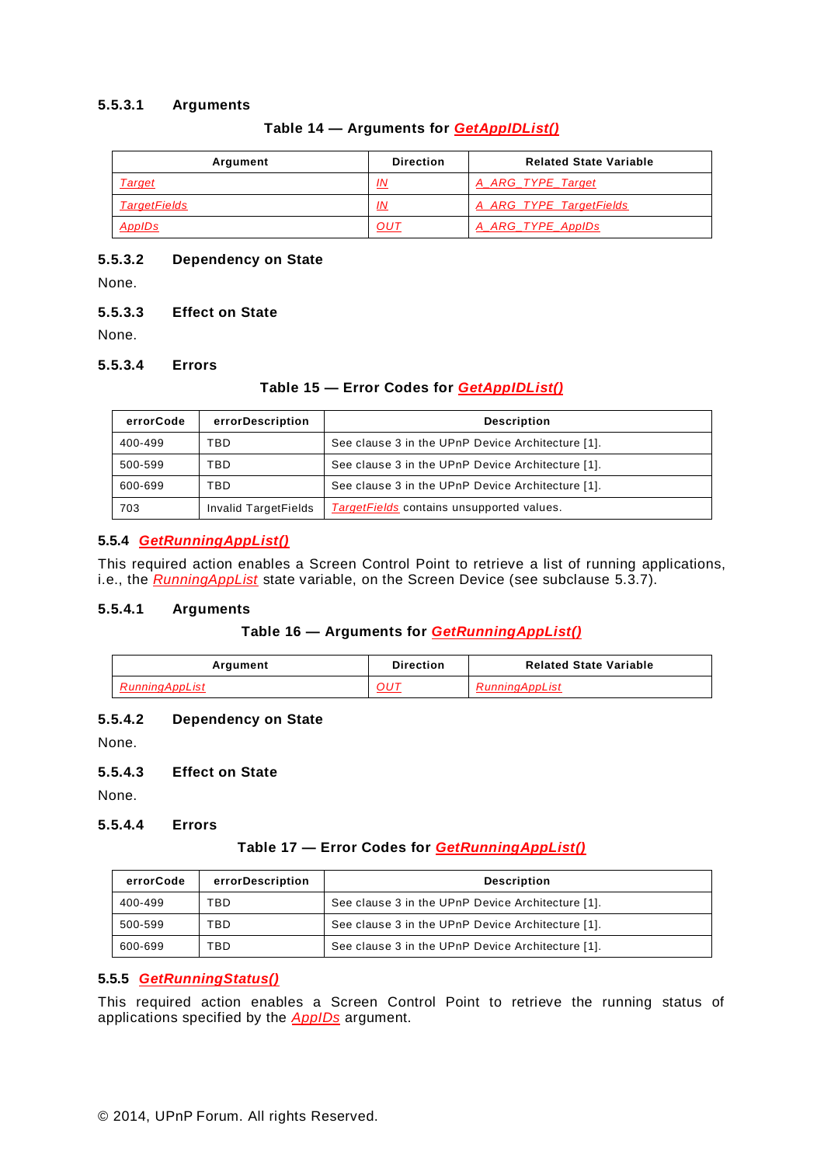### **5.5.3.1 Arguments**

### **Table 14 — Arguments for** *GetAppIDList()*

| Argument            | <b>Direction</b> | <b>Related State Variable</b> |
|---------------------|------------------|-------------------------------|
| Target              | <u>IN</u>        | A ARG TYPE Target             |
| <b>TargetFields</b> | <u>IN</u>        | A ARG TYPE TargetFields       |
| AppIDs              | OUT              | A ARG TYPE ApplDs             |

#### **5.5.3.2 Dependency on State**

None.

#### **5.5.3.3 Effect on State**

None.

#### **5.5.3.4 Errors**

#### **Table 15 — Error Codes for** *GetAppIDList()*

| errorCode | errorDescription     | <b>Description</b>                                |
|-----------|----------------------|---------------------------------------------------|
| 400-499   | TBD                  | See clause 3 in the UPnP Device Architecture [1]. |
| 500-599   | TBD                  | See clause 3 in the UPnP Device Architecture [1]. |
| 600-699   | TBD                  | See clause 3 in the UPnP Device Architecture [1]. |
| 703       | Invalid TargetFields | TargetFields contains unsupported values.         |

### **5.5.4** *GetRunningAppList()*

This required action enables a Screen Control Point to retrieve a list of running applications, i.e., the *RunningAppList* state variable, on the Screen Device (see subclause [5.3.7\)](#page-10-1).

#### **5.5.4.1 Arguments**

# **Table 16 — Arguments for** *GetRunningAppList()*

| Argument       | <b>Direction</b> | <b>Related State Variable</b> |
|----------------|------------------|-------------------------------|
| RunninaAppList | OU1              | RunningAppList                |

#### **5.5.4.2 Dependency on State**

None.

### **5.5.4.3 Effect on State**

None.

#### **5.5.4.4 Errors**

#### **Table 17 — Error Codes for** *GetRunningAppList()*

| errorCode | errorDescription | <b>Description</b>                                |
|-----------|------------------|---------------------------------------------------|
| 400-499   | TBD              | See clause 3 in the UPnP Device Architecture [1]. |
| 500-599   | TBD              | See clause 3 in the UPnP Device Architecture [1]. |
| 600-699   | TBD              | See clause 3 in the UPnP Device Architecture [1]. |

### **5.5.5** *GetRunningStatus()*

This required action enables a Screen Control Point to retrieve the running status of applications specified by the *AppIDs* argument.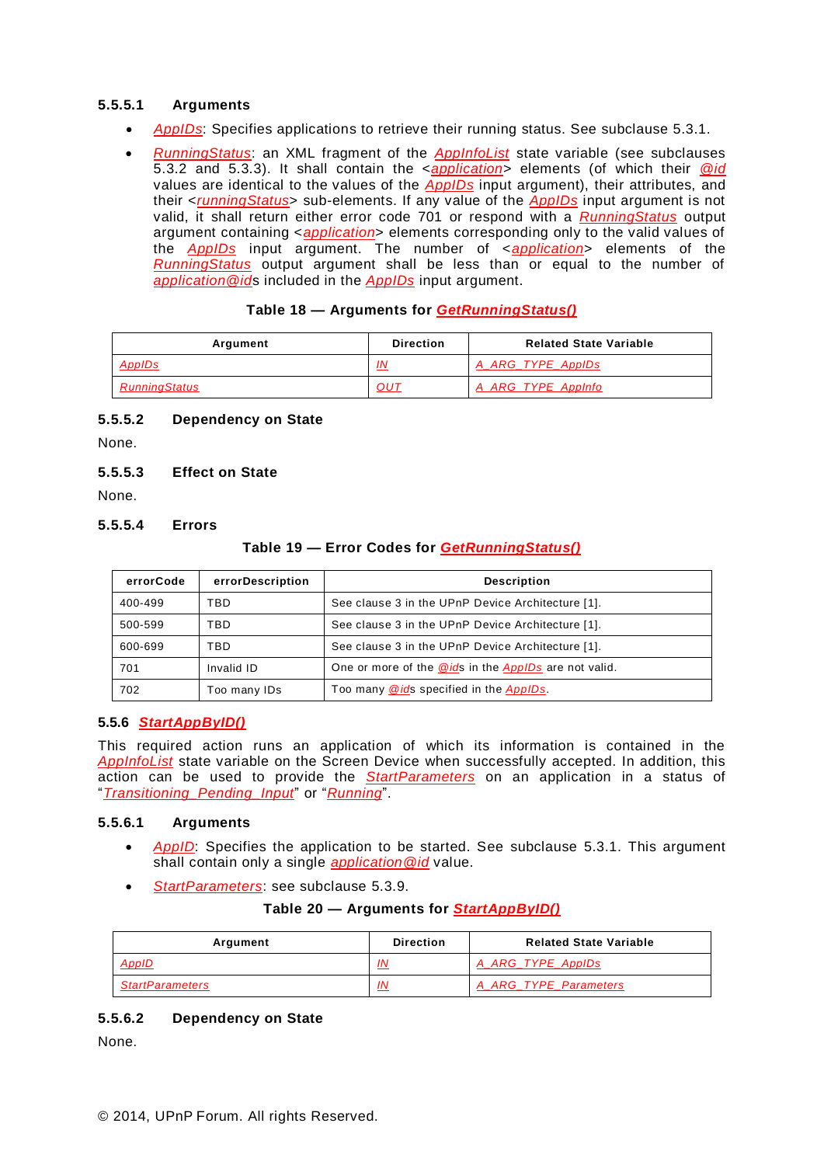## **5.5.5.1 Arguments**

- *AppIDs*: Specifies applications to retrieve their running status. See subclause [5.3.1.](#page-6-1)
- *RunningStatus*: an XML fragment of the *AppInfoList* state variable (see subclauses [5.3.2](#page-6-2) and [5.3.3\)](#page-9-0). It shall contain the <*application*> elements (of which their *@id* values are identical to the values of the *AppIDs* input argument), their attributes, and their <*runningStatus*> sub-elements. If any value of the *AppIDs* input argument is not valid, it shall return either error code 701 or respond with a *RunningStatus* output argument containing <*application*> elements corresponding only to the valid values of the *AppIDs* input argument. The number of <*application*> elements of the *RunningStatus* output argument shall be less than or equal to the number of *application@id*s included in the *AppIDs* input argument.

#### **Table 18 — Arguments for** *GetRunningStatus()*

| Argument             | <b>Direction</b> | <b>Related State Variable</b> |
|----------------------|------------------|-------------------------------|
| <u>AppIDs</u>        | IN               | A ARG TYPE ApplDs             |
| <b>RunningStatus</b> | <b>OUT</b>       | A_ARG_TYPE_AppInfo            |

### **5.5.5.2 Dependency on State**

None.

### **5.5.5.3 Effect on State**

None.

### **5.5.5.4 Errors**

### **Table 19 — Error Codes for** *GetRunningStatus()*

| errorCode | errorDescription | <b>Description</b>                                    |
|-----------|------------------|-------------------------------------------------------|
| 400-499   | TBD.             | See clause 3 in the UPnP Device Architecture [1].     |
| 500-599   | TBD              | See clause 3 in the UPnP Device Architecture [1].     |
| 600-699   | FBD.             | See clause 3 in the UPnP Device Architecture [1].     |
| 701       | Invalid ID       | One or more of the @ids in the AppIDs are not valid.  |
| 702       | Too many IDs     | Too many <b>@ids</b> specified in the <b>AppIDs</b> . |

#### <span id="page-14-0"></span>**5.5.6** *StartAppByID()*

This required action runs an application of which its information is contained in the *AppInfoList* state variable on the Screen Device when successfully accepted. In addition, this action can be used to provide the *StartParameters* on an application in a status of "*Transitioning\_Pending\_Input*" or "*Running*".

#### **5.5.6.1 Arguments**

- *AppID*: Specifies the application to be started. See subclause [5.3.1.](#page-6-1) This argument shall contain only a single *application@id* value.
- *StartParameters*: see subclause [5.3.9.](#page-10-3)

#### **Table 20 — Arguments for** *StartAppByID()*

| Argument               | <b>Direction</b> | <b>Related State Variable</b> |
|------------------------|------------------|-------------------------------|
| <u>AppID</u>           | IN.              | A ARG TYPE ApplDs             |
| <b>StartParameters</b> | IN               | A ARG TYPE Parameters         |

#### **5.5.6.2 Dependency on State**

None.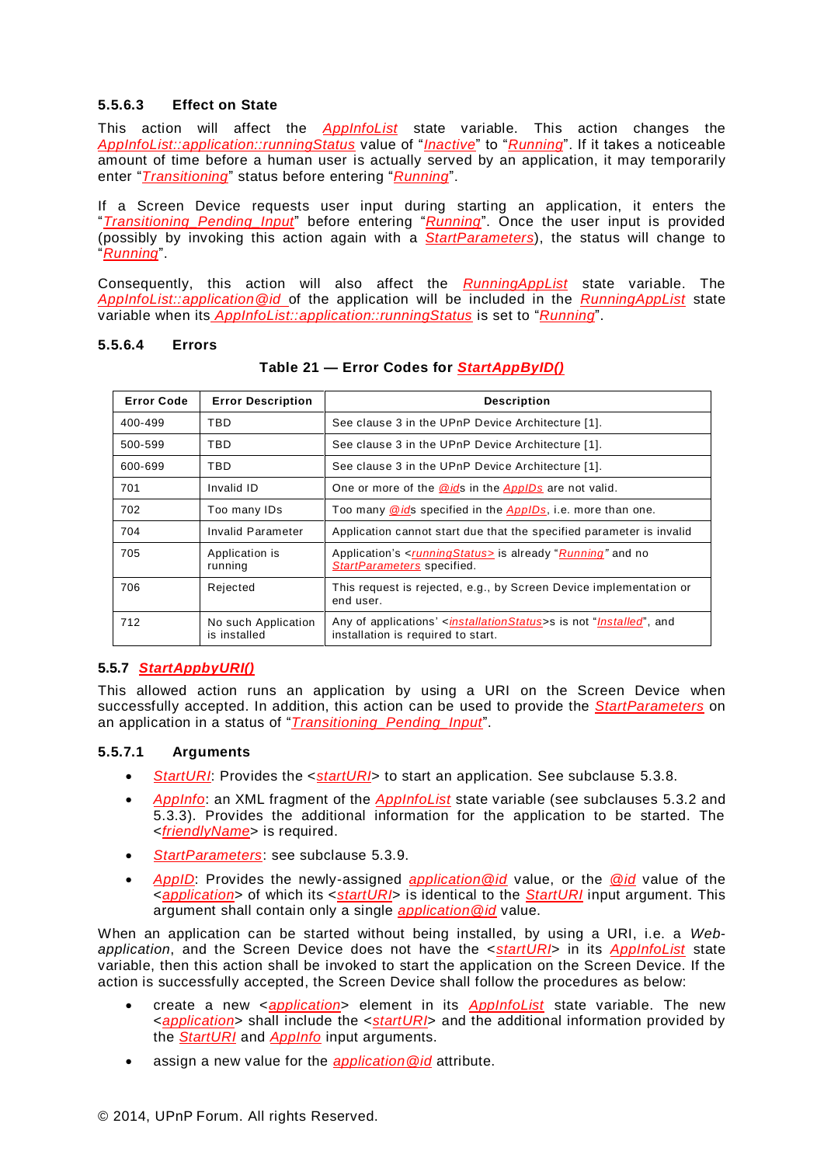### **5.5.6.3 Effect on State**

This action will affect the *AppInfoList* state variable. This action changes the *AppInfoList::application::runningStatus* value of "*Inactive*" to "*Running*". If it takes a noticeable amount of time before a human user is actually served by an application, it may temporarily enter "*Transitioning*" status before entering "*Running*".

If a Screen Device requests user input during starting an application, it enters the "*Transitioning\_Pending\_Input*" before entering "*Running*". Once the user input is provided (possibly by invoking this action again with a *StartParameters*), the status will change to "*Running*".

Consequently, this action will also affect the *RunningAppList* state variable. The *AppInfoList::application@id* of the application will be included in the *RunningAppList* state variable when its *AppInfoList::application::runningStatus* is set to "*Running*".

#### **5.5.6.4 Errors**

| <b>Error Code</b> | <b>Error Description</b>            | <b>Description</b>                                                                                                         |
|-------------------|-------------------------------------|----------------------------------------------------------------------------------------------------------------------------|
| 400-499           | <b>TBD</b>                          | See clause 3 in the UPnP Device Architecture [1].                                                                          |
| 500-599           | TBD                                 | See clause 3 in the UPnP Device Architecture [1].                                                                          |
| 600-699           | TBD                                 | See clause 3 in the UPnP Device Architecture [1].                                                                          |
| 701               | Invalid ID                          | One or more of the <b>@ids</b> in the <b>AppIDs</b> are not valid.                                                         |
| 702               | Too many IDs                        | Too many @ids specified in the AppIDs, i.e. more than one.                                                                 |
| 704               | Invalid Parameter                   | Application cannot start due that the specified parameter is invalid                                                       |
| 705               | Application is<br>running           | Application's < <i>runningStatus</i> > is already " <i>Running</i> " and no<br>StartParameters specified.                  |
| 706               | Rejected                            | This request is rejected, e.g., by Screen Device implementation or<br>end user.                                            |
| 712               | No such Application<br>is installed | Any of applications' < <i>installationStatus</i> >s is not " <i>Installed</i> ", and<br>installation is required to start. |

**Table 21 — Error Codes for** *StartAppByID()*

#### <span id="page-15-0"></span>**5.5.7** *StartAppbyURI()*

This allowed action runs an application by using a URI on the Screen Device when successfully accepted. In addition, this action can be used to provide the *StartParameters* on an application in a status of "*Transitioning\_Pending\_Input*".

#### **5.5.7.1 Arguments**

- *StartURI*: Provides the <*startURI*> to start an application. See subclause [5.3.8.](#page-10-2)
- *AppInfo*: an XML fragment of the *AppInfoList* state variable (see subclauses [5.3.2](#page-6-2) and [5.3.3\)](#page-9-0). Provides the additional information for the application to be started. The <*friendlyName*> is required.
- *StartParameters*: see subclause [5.3.9.](#page-10-3)
- *AppID*: Provides the newly-assigned *application@id* value, or the *@id* value of the <*application*> of which its <*startURI*> is identical to the *StartURI* input argument. This argument shall contain only a single *application@id* value.

When an application can be started without being installed, by using a URI, i.e. a *Webapplication*, and the Screen Device does not have the <*startURI*> in its *AppInfoList* state variable, then this action shall be invoked to start the application on the Screen Device. If the action is successfully accepted, the Screen Device shall follow the procedures as below:

- create a new <*application*> element in its *AppInfoList* state variable. The new <*application*> shall include the <*startURI*> and the additional information provided by the *StartURI* and *AppInfo* input arguments.
- assign a new value for the *application@id* attribute.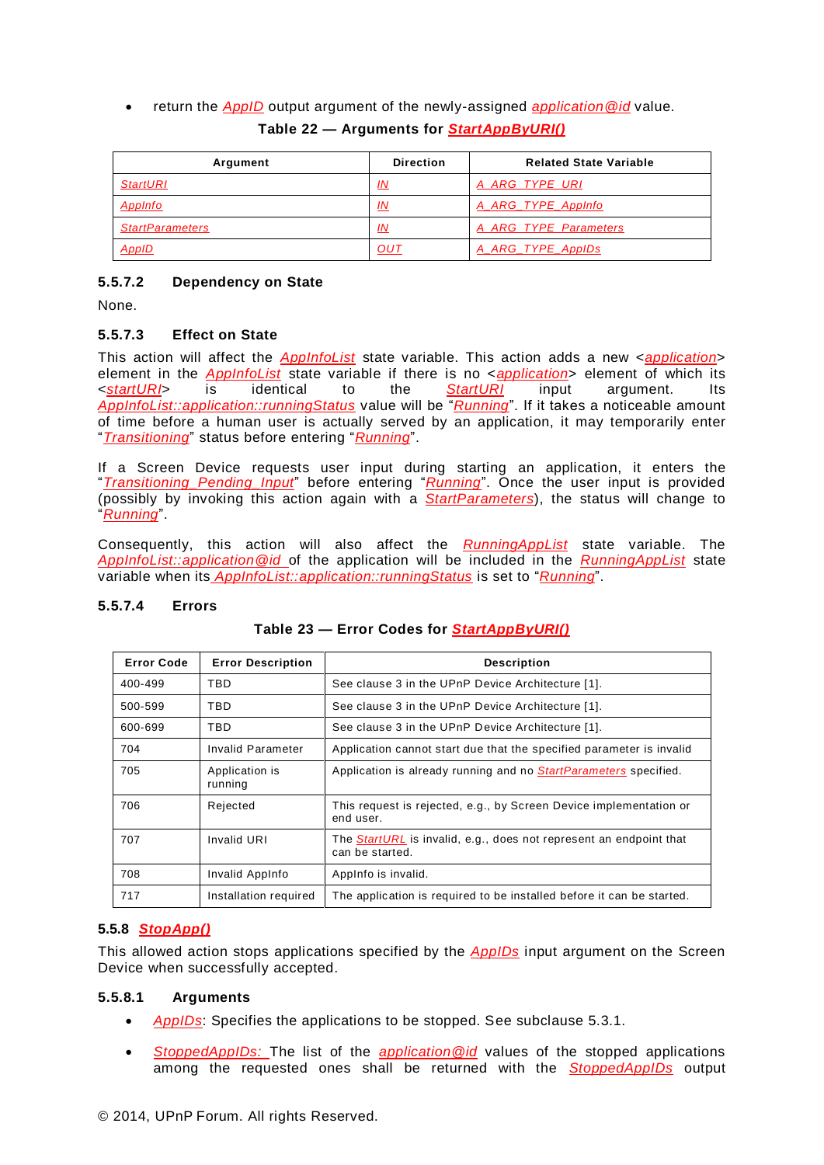return the *AppID* output argument of the newly-assigned *application@id* value.

| Argument               | <b>Direction</b> | <b>Related State Variable</b> |
|------------------------|------------------|-------------------------------|
| <b>StartURI</b>        | IN               | A ARG TYPE URI                |
| AppInfo                | IN               | A ARG TYPE AppInfo            |
| <b>StartParameters</b> | IN               | A ARG TYPE Parameters         |
| AppID                  | OUT              | A_ARG_TYPE_AppIDs             |

# **Table 22 — Arguments for** *StartAppByURI()*

### **5.5.7.2 Dependency on State**

None.

### **5.5.7.3 Effect on State**

This action will affect the *AppInfoList* state variable. This action adds a new <*application*> element in the *AppInfoList* state variable if there is no <*application*> element of which its <*startURI*> is identical to the *StartURI* input argument. Its *AppInfoList::application::runningStatus* value will be "*Running*". If it takes a noticeable amount of time before a human user is actually served by an application, it may temporarily enter "*Transitioning*" status before entering "*Running*".

If a Screen Device requests user input during starting an application, it enters the "*Transitioning\_Pending\_Input*" before entering "*Running*". Once the user input is provided (possibly by invoking this action again with a *StartParameters*), the status will change to "*Running*".

Consequently, this action will also affect the *RunningAppList* state variable. The *AppInfoList::application@id* of the application will be included in the *RunningAppList* state variable when its *AppInfoList::application::runningStatus* is set to "*Running*".

#### **5.5.7.4 Errors**

| <b>Error Code</b> | <b>Error Description</b>  | <b>Description</b>                                                                           |
|-------------------|---------------------------|----------------------------------------------------------------------------------------------|
| 400-499           | <b>TBD</b>                | See clause 3 in the UPnP Device Architecture [1].                                            |
| 500-599           | <b>TBD</b>                | See clause 3 in the UPnP Device Architecture [1].                                            |
| 600-699           | <b>TBD</b>                | See clause 3 in the UPnP Device Architecture [1].                                            |
| 704               | Invalid Parameter         | Application cannot start due that the specified parameter is invalid                         |
| 705               | Application is<br>running | Application is already running and no StartParameters specified.                             |
| 706               | Rejected                  | This request is rejected, e.g., by Screen Device implementation or<br>end user.              |
| 707               | Invalid URI               | The <i>StartURL</i> is invalid, e.g., does not represent an endpoint that<br>can be started. |
| 708               | Invalid AppInfo           | AppInfo is invalid.                                                                          |
| 717               | Installation required     | The application is required to be installed before it can be started.                        |

#### **Table 23 — Error Codes for** *StartAppByURI()*

#### **5.5.8** *StopApp()*

This allowed action stops applications specified by the *AppIDs* input argument on the Screen Device when successfully accepted.

#### **5.5.8.1 Arguments**

- *AppIDs*: Specifies the applications to be stopped. See subclause [5.3.1.](#page-6-1)
- *StoppedAppIDs:* The list of the *application@id* values of the stopped applications among the requested ones shall be returned with the *StoppedAppIDs* output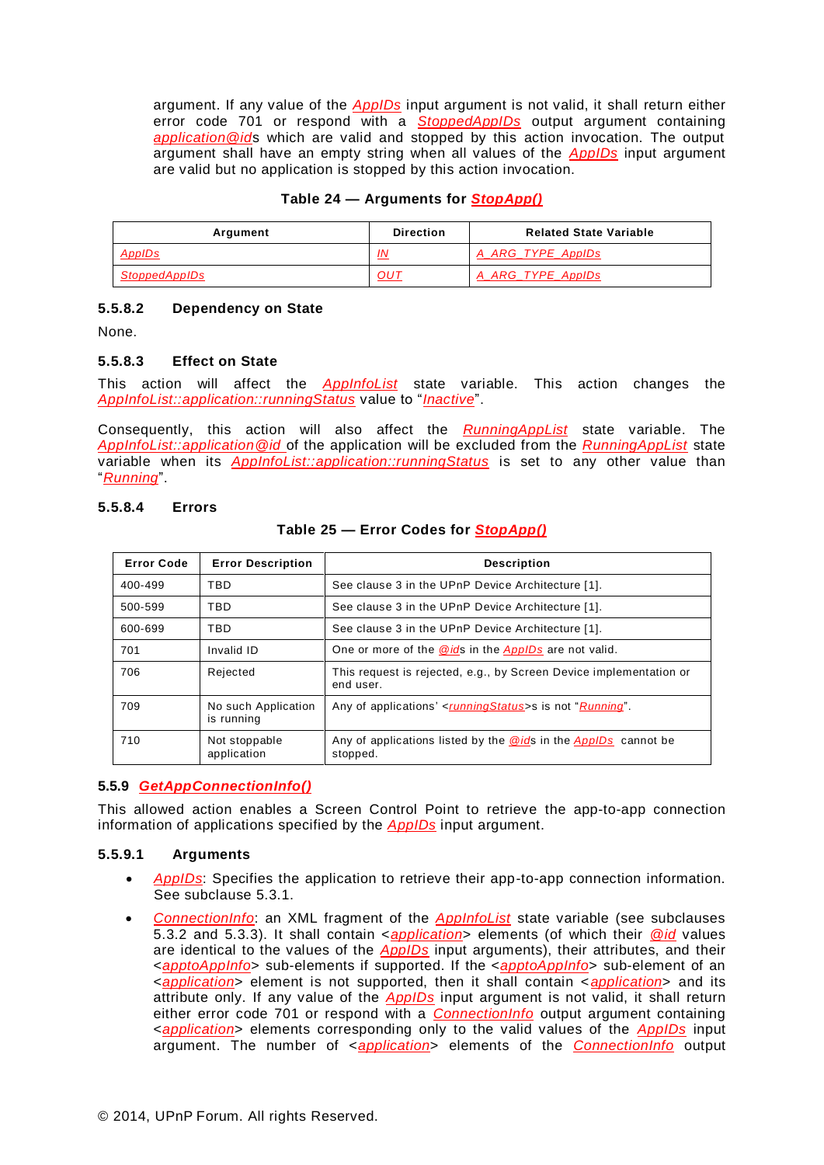argument. If any value of the *AppIDs* input argument is not valid, it shall return either error code 701 or respond with a *StoppedAppIDs* output argument containing *application@id*s which are valid and stopped by this action invocation. The output argument shall have an empty string when all values of the *AppIDs* input argument are valid but no application is stopped by this action invocation.

| Table 24 - Arguments for <b>StopApp()</b> |
|-------------------------------------------|
|-------------------------------------------|

| Argument             | <b>Direction</b> | <b>Related State Variable</b> |
|----------------------|------------------|-------------------------------|
| AppIDs               | <u>IN</u>        | A ARG TYPE ApplDs             |
| <b>StoppedAppIDs</b> | OUT              | A ARG TYPE ApplDs             |

#### **5.5.8.2 Dependency on State**

None.

#### **5.5.8.3 Effect on State**

This action will affect the *AppInfoList* state variable. This action changes the *AppInfoList::application::runningStatus* value to "*Inactive*".

Consequently, this action will also affect the *RunningAppList* state variable. The *AppInfoList::application@id* of the application will be excluded from the *RunningAppList* state variable when its *AppInfoList::application::runningStatus* is set to any other value than "*Running*".

#### **5.5.8.4 Errors**

#### **Table 25 — Error Codes for** *StopApp()*

| <b>Error Code</b> | <b>Error Description</b>          | <b>Description</b>                                                              |
|-------------------|-----------------------------------|---------------------------------------------------------------------------------|
| 400-499           | TBD                               | See clause 3 in the UPnP Device Architecture [1].                               |
| 500-599           | TBD                               | See clause 3 in the UPnP Device Architecture [1].                               |
| 600-699           | TBD                               | See clause 3 in the UPnP Device Architecture [1].                               |
| 701               | Invalid ID                        | One or more of the @ids in the AppIDs are not valid.                            |
| 706               | Rejected                          | This request is rejected, e.g., by Screen Device implementation or<br>end user. |
| 709               | No such Application<br>is running | Any of applications' < <i>runningStatus</i> >s is not " <i>Running</i> ".       |
| 710               | Not stoppable<br>application      | Any of applications listed by the @ids in the AppIDs cannot be<br>stopped.      |

#### **5.5.9** *GetAppConnectionInfo()*

This allowed action enables a Screen Control Point to retrieve the app-to-app connection information of applications specified by the *AppIDs* input argument.

#### **5.5.9.1 Arguments**

- *AppIDs*: Specifies the application to retrieve their app-to-app connection information. See subclause [5.3.1.](#page-6-1)
- *ConnectionInfo*: an XML fragment of the *AppInfoList* state variable (see subclauses [5.3.2](#page-6-2) and [5.3.3\)](#page-9-0). It shall contain <*application*> elements (of which their *@id* values are identical to the values of the *AppIDs* input arguments), their attributes, and their <*apptoAppInfo*> sub-elements if supported. If the <*apptoAppInfo*> sub-element of an <*application*> element is not supported, then it shall contain <*application*> and its attribute only. If any value of the *AppIDs* input argument is not valid, it shall return either error code 701 or respond with a *ConnectionInfo* output argument containing <*application*> elements corresponding only to the valid values of the *AppIDs* input argument. The number of <*application*> elements of the *ConnectionInfo* output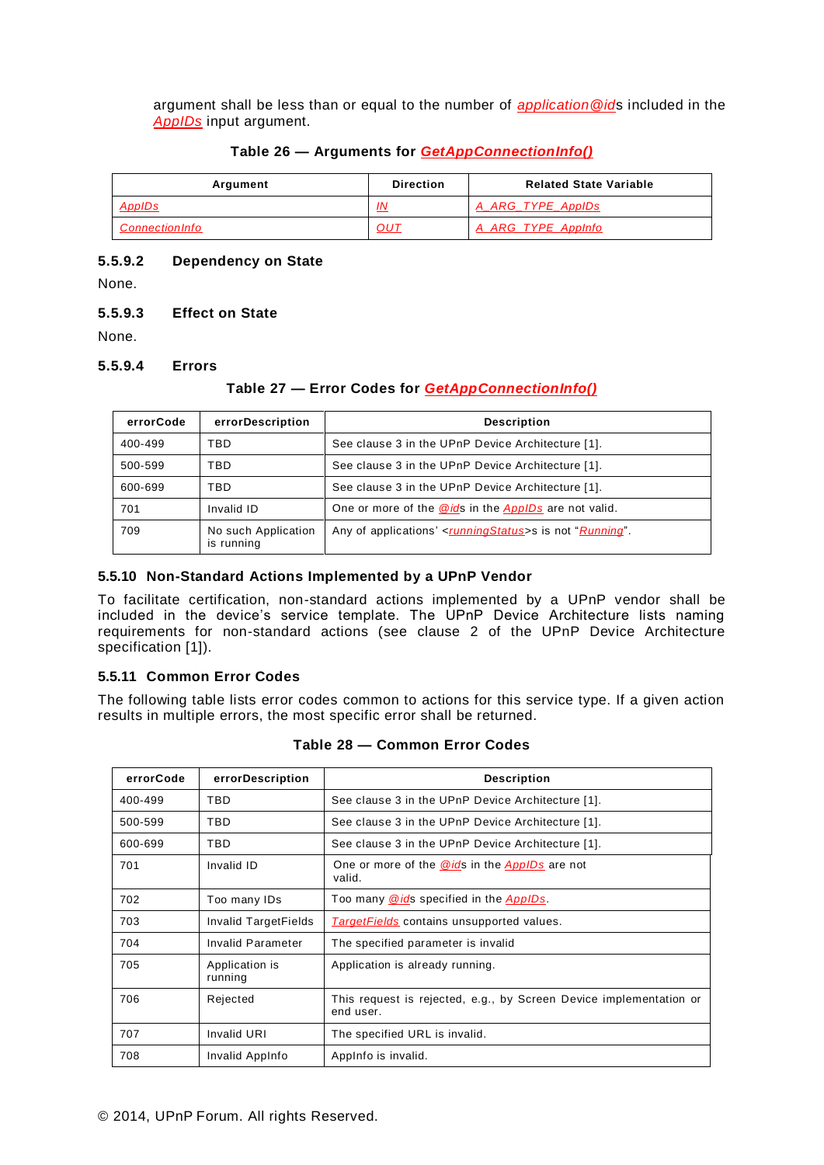argument shall be less than or equal to the number of *application@id*s included in the *AppIDs* input argument.

### **Table 26 — Arguments for** *GetAppConnectionInfo()*

| Argument              | <b>Direction</b> | <b>Related State Variable</b> |
|-----------------------|------------------|-------------------------------|
| <b>AppIDs</b>         | IN               | A ARG TYPE ApplDs             |
| <b>ConnectionInfo</b> | 0UT              | A ARG TYPE AppInfo            |

### **5.5.9.2 Dependency on State**

None.

### **5.5.9.3 Effect on State**

None.

#### **5.5.9.4 Errors**

# **Table 27 — Error Codes for** *GetAppConnectionInfo()*

| errorCode | errorDescription                  | <b>Description</b>                                                      |
|-----------|-----------------------------------|-------------------------------------------------------------------------|
| 400-499   | <b>TBD</b>                        | See clause 3 in the UPnP Device Architecture [1].                       |
| 500-599   | <b>TBD</b>                        | See clause 3 in the UPnP Device Architecture [1].                       |
| 600-699   | TBD                               | See clause 3 in the UPnP Device Architecture [1].                       |
| 701       | Invalid ID                        | One or more of the @ids in the AppIDs are not valid.                    |
| 709       | No such Application<br>is running | Any of applications' <runningstatus>s is not "Running".</runningstatus> |

### **5.5.10 Non-Standard Actions Implemented by a UPnP Vendor**

To facilitate certification, non-standard actions implemented by a UPnP vendor shall be included in the device's service template. The UPnP Device Architecture lists naming requirements for non-standard actions (see clause 2 of the UPnP Device Architecture specification [\[1\]](#page-2-0)).

# **5.5.11 Common Error Codes**

The following table lists error codes common to actions for this service type. If a given action results in multiple errors, the most specific error shall be returned.

| errorCode | errorDescription          | <b>Description</b>                                                              |
|-----------|---------------------------|---------------------------------------------------------------------------------|
| 400-499   | TBD.                      | See clause 3 in the UPnP Device Architecture [1].                               |
| 500-599   | TBD.                      | See clause 3 in the UPnP Device Architecture [1].                               |
| 600-699   | TBD.                      | See clause 3 in the UPnP Device Architecture [1].                               |
| 701       | Invalid ID                | One or more of the @ids in the ApplDs are not<br>valid.                         |
| 702       | Too many IDs              | Too many @ids specified in the AppIDs.                                          |
| 703       | Invalid TargetFields      | <b>TargetFields</b> contains unsupported values.                                |
| 704       | Invalid Parameter         | The specified parameter is invalid                                              |
| 705       | Application is<br>running | Application is already running.                                                 |
| 706       | Rejected                  | This request is rejected, e.g., by Screen Device implementation or<br>end user. |
| 707       | <b>Invalid URI</b>        | The specified URL is invalid.                                                   |
| 708       | Invalid AppInfo           | Applnfo is invalid.                                                             |

#### **Table 28 — Common Error Codes**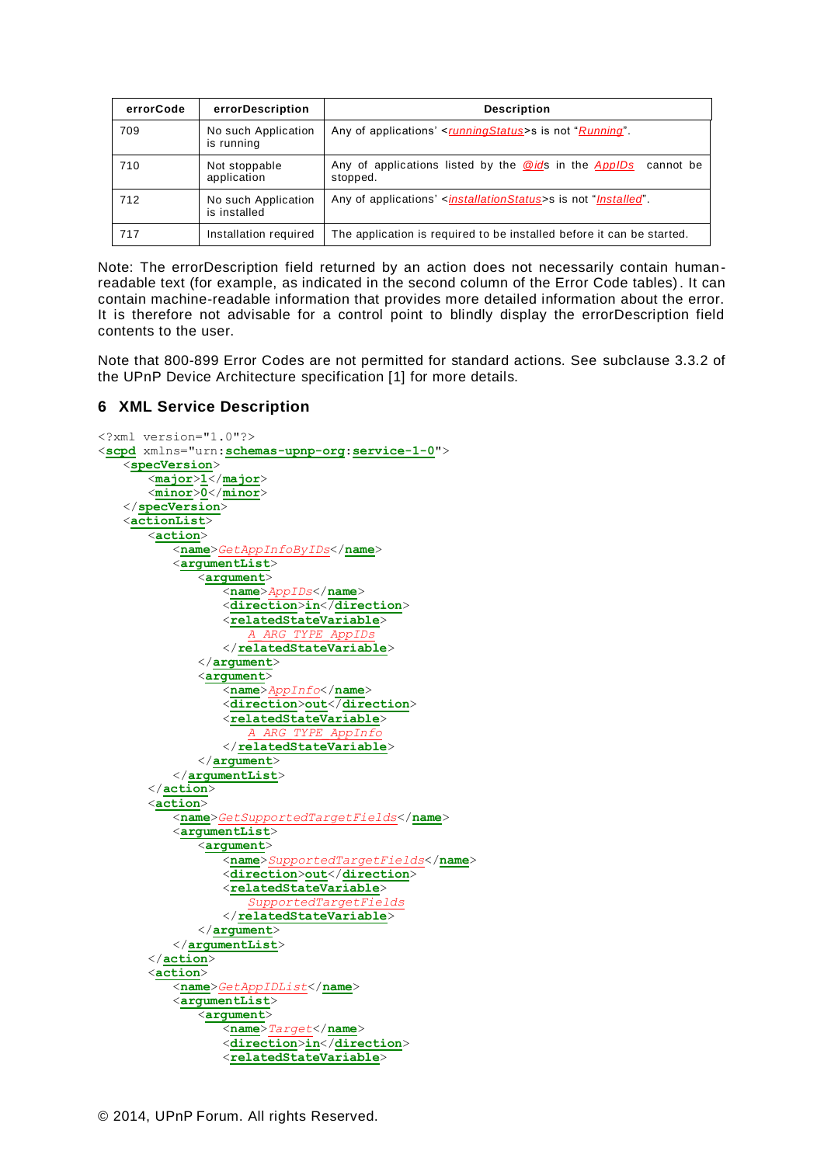| errorCode | errorDescription                    | <b>Description</b>                                                                       |
|-----------|-------------------------------------|------------------------------------------------------------------------------------------|
| 709       | No such Application<br>is running   | Any of applications' <runningstatus>s is not "Running"</runningstatus>                   |
| 710       | Not stoppable<br>application        | Any of applications listed by the <b>@ids</b> in the <b>ApplDs</b> cannot be<br>stopped. |
| 712       | No such Application<br>is installed | Any of applications' <installationstatus>s is not "Installed".</installationstatus>      |
| 717       | Installation required               | The application is required to be installed before it can be started.                    |

Note: The errorDescription field returned by an action does not necessarily contain humanreadable text (for example, as indicated in the second column of the Error Code tables). It can contain machine-readable information that provides more detailed information about the error. It is therefore not advisable for a control point to blindly display the errorDescription field contents to the user.

Note that 800-899 Error Codes are not permitted for standard actions. See subclause 3.3.2 of the UPnP Device Architecture specification [\[1\]](#page-2-0) for more details.

### **6 XML Service Description**

```
<?xml version="1.0"?>
<scpd xmlns="urn:schemas-upnp-org:service-1-0">
   <specVersion>
      <major>1</major>
      <minor>0</minor>
   </specVersion>
   <actionList>
       <action>
          <name>GetAppInfoByIDs</name>
          <argumentList>
             <argument>
                 <name>AppIDs</name>
                 <direction>in</direction>
                 <relatedStateVariable>
                    A_ARG_TYPE_AppIDs
                 </relatedStateVariable>
             </argument>
             <argument>
                 <name>AppInfo</name>
                 <direction>out</direction>
                 <relatedStateVariable>
                    A_ARG_TYPE_AppInfo
                 </relatedStateVariable>
             </argument>
          </argumentList>
      </action>
       <action>
          <name>GetSupportedTargetFields</name>
          <argumentList>
             <argument>
                 <name>SupportedTargetFields</name>
                 <direction>out</direction>
                 <relatedStateVariable>
                    SupportedTargetFields
                 </relatedStateVariable>
             </argument>
          </argumentList>
       </action>
       <action>
          <name>GetAppIDList</name>
          <argumentList>
             <argument>
                 <name>Target</name>
                 <direction>in</direction>
                 <relatedStateVariable>
```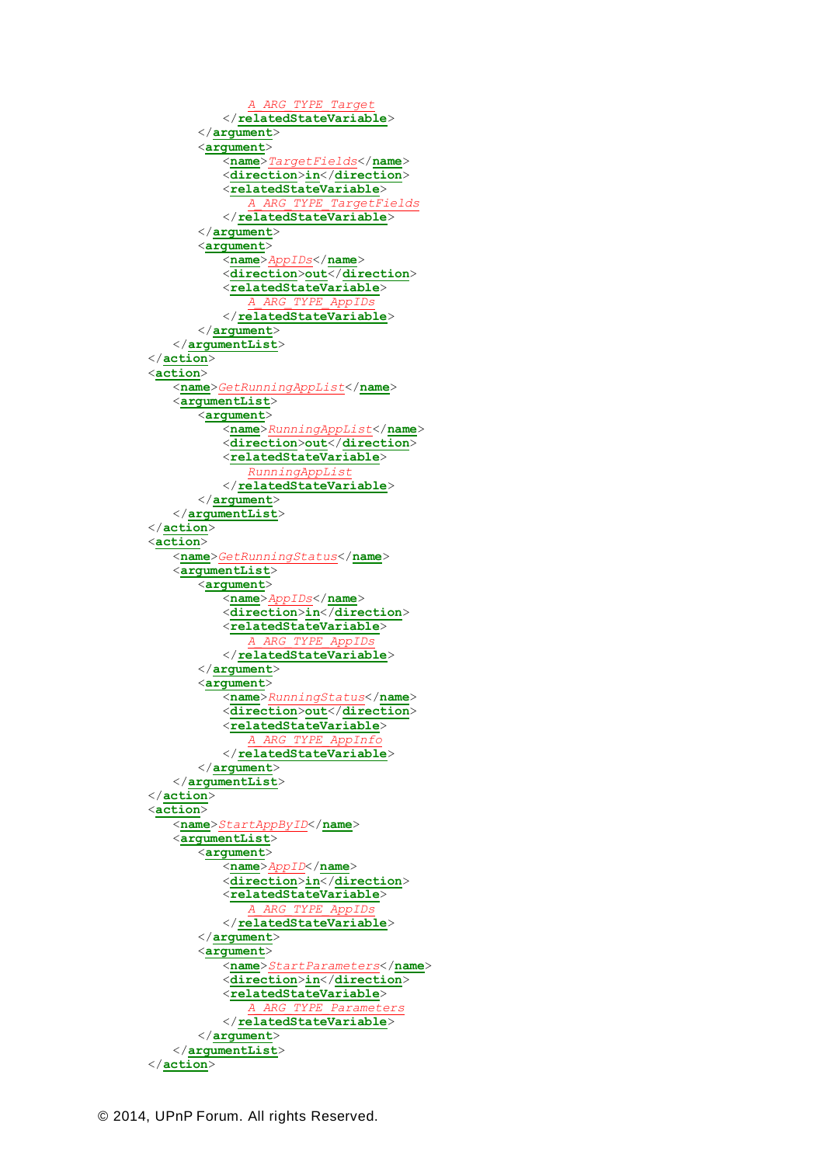```
A_ARG_TYPE_Target
          </relatedStateVariable>
      </argument>
      <argument>
          <name>TargetFields</name>
          <direction>in</direction>
          <relatedStateVariable>
             A_ARG_TYPE_TargetFields
          </relatedStateVariable>
      </argument>
      <argument>
          <name>AppIDs</name>
          <direction>out</direction>
          <relatedStateVariable>
             A_ARG_TYPE_AppIDs
          </relatedStateVariable>
      </argument>
   </argumentList>
</action>
<action>
   <name>GetRunningAppList</name>
   <argumentList>
      <argument>
          <name>RunningAppList</name>
          <direction>out</direction>
          <relatedStateVariable>
             RunningAppList
          </relatedStateVariable>
      </argument>
   </argumentList>
</action>
<action>
   <name>GetRunningStatus</name>
   <argumentList>
      <argument>
          <name>AppIDs</name>
          <direction>in</direction>
          <relatedStateVariable>
             A_ARG_TYPE_AppIDs
          </relatedStateVariable>
      </argument>
      <argument>
          <name>RunningStatus</name>
          <direction>out</direction>
          <relatedStateVariable>
              A_ARG_TYPE_AppInfo
          </relatedStateVariable>
      </argument>
   </argumentList>
</action>
<action>
   <name>StartAppByID</name>
   <argumentList>
      <argument>
          <name>AppID</name>
          <direction>in</direction>
          <relatedStateVariable>
             A_ARG_TYPE_AppIDs
          </relatedStateVariable>
      </argument>
       <argument>
          <name>StartParameters</name>
          <direction>in</direction>
          <relatedStateVariable>
                         A_ARG_TYPE_Parameters
          </relatedStateVariable>
      </argument>
   </argumentList>
</action>
```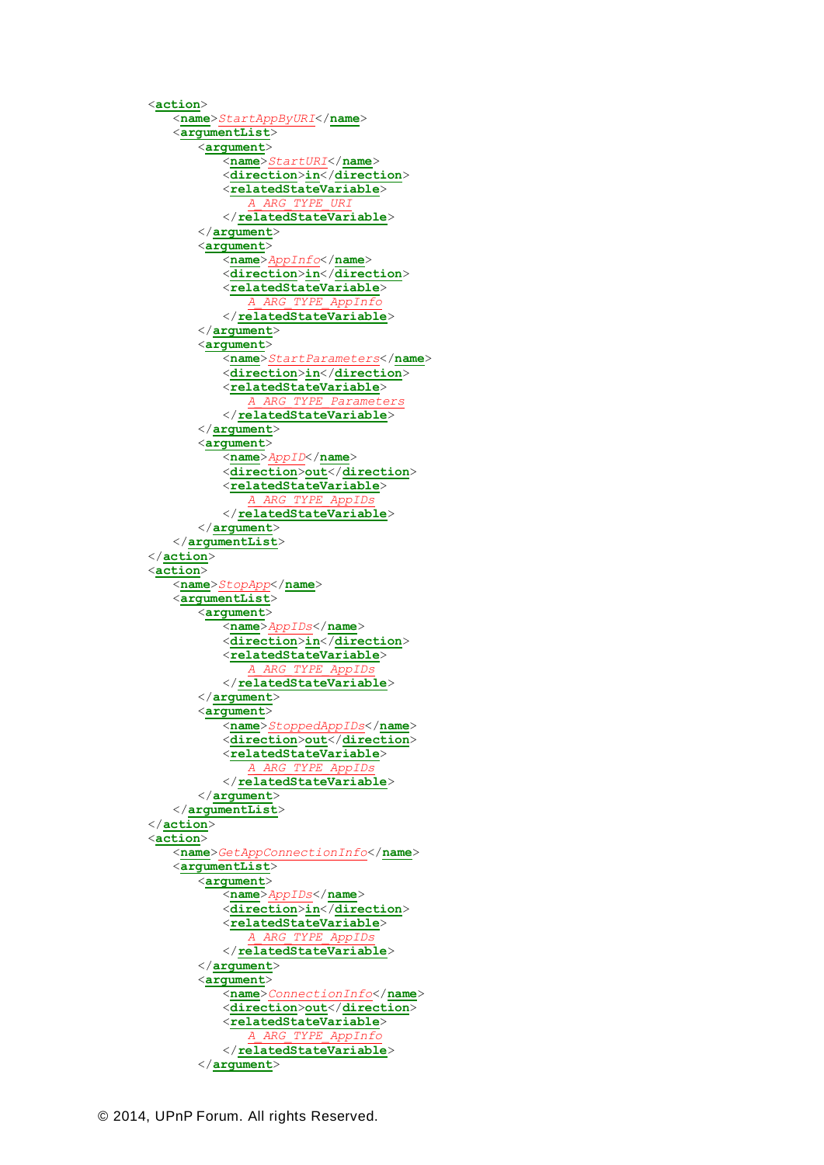<**action**> <**name**>*StartAppByURI*</**name**> <**argumentList**> <**argument**> <**name**>*StartURI*</**name**> <**direction**>**in**</**direction**> <**relatedStateVariable**> *A\_ARG\_TYPE\_URI* </**relatedStateVariable**> </**argument**> <**argument**> <**name**>*AppInfo*</**name**> <**direction**>**in**</**direction**> <**relatedStateVariable**> *A\_ARG\_TYPE\_AppInfo* </**relatedStateVariable**> </**argument**> <**argument**> <**name**>*StartParameters*</**name**> <**direction**>**in**</**direction**> <**relatedStateVariable**> *A\_ARG\_TYPE\_Parameters* </**relatedStateVariable**> </**argument**> <**argument**> <**name**>*AppID*</**name**> <**direction**>**out**</**direction**> <**relatedStateVariable**> *A\_ARG\_TYPE\_AppIDs* </**relatedStateVariable**> </**argument**> </**argumentList**> </**action**> <**action**> <**name**>*StopApp*</**name**> <**argumentList**> <**argument**> <**name**>*AppIDs*</**name**> <**direction**>**in**</**direction**> <**relatedStateVariable**> *A\_ARG\_TYPE\_AppIDs* </**relatedStateVariable**> </**argument**> <**argument**> <**name**>*StoppedAppIDs*</**name**> <**direction**>**out**</**direction**> <**relatedStateVariable**> *A\_ARG\_TYPE\_AppIDs* </**relatedStateVariable**> </**argument**> </**argumentList**> </**action**> <**action**> <**name**>*GetAppConnectionInfo*</**name**> <**argumentList**> <**argument**> <**name**>*AppIDs*</**name**> <**direction**>**in**</**direction**> <**relatedStateVariable**> *A\_ARG\_TYPE\_AppIDs* </**relatedStateVariable**> </**argument**> <**argument**> <**name**>*ConnectionInfo*</**name**> <**direction**>**out**</**direction**> <**relatedStateVariable**> *A\_ARG\_TYPE\_AppInfo* </**relatedStateVariable**> </**argument**>